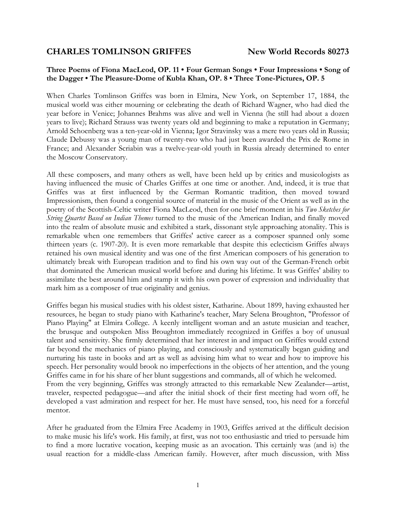# **CHARLES TOMLINSON GRIFFES** New World Records 80273

## **Three Poems of Fiona MacLeod, OP. 11 • Four German Songs • Four Impressions • Song of the Dagger • The Pleasure-Dome of Kubla Khan, OP. 8 • Three Tone-Pictures, OP. 5**

When Charles Tomlinson Griffes was born in Elmira, New York, on September 17, 1884, the musical world was either mourning or celebrating the death of Richard Wagner, who had died the year before in Venice; Johannes Brahms was alive and well in Vienna (he still had about a dozen years to live); Richard Strauss was twenty years old and beginning to make a reputation in Germany; Arnold Schoenberg was a ten-year-old in Vienna; Igor Stravinsky was a mere two years old in Russia; Claude Debussy was a young man of twenty-two who had just been awarded the Prix de Rome in France; and Alexander Scriabin was a twelve-year-old youth in Russia already determined to enter the Moscow Conservatory.

All these composers, and many others as well, have been held up by critics and musicologists as having influenced the music of Charles Griffes at one time or another. And, indeed, it is true that Griffes was at first influenced by the German Romantic tradition, then moved toward Impressionism, then found a congenial source of material in the music of the Orient as well as in the poetry of the Scottish-Celtic writer Fiona MacLeod, then for one brief moment in his *Two Sketches for String Quartet Based on Indian Themes* turned to the music of the American Indian, and finally moved into the realm of absolute music and exhibited a stark, dissonant style approaching atonality. This is remarkable when one remembers that Griffes' active career as a composer spanned only some thirteen years (c. 1907-20). It is even more remarkable that despite this eclecticism Griffes always retained his own musical identity and was one of the first American composers of his generation to ultimately break with European tradition and to find his own way out of the German-French orbit that dominated the American musical world before and during his lifetime. It was Griffes' ability to assimilate the best around him and stamp it with his own power of expression and individuality that mark him as a composer of true originality and genius.

Griffes began his musical studies with his oldest sister, Katharine. About 1899, having exhausted her resources, he began to study piano with Katharine's teacher, Mary Selena Broughton, "Professor of Piano Playing" at Elmira College. A keenly intelligent woman and an astute musician and teacher, the brusque and outspoken Miss Broughton immediately recognized in Griffes a boy of unusual talent and sensitivity. She firmly determined that her interest in and impact on Griffes would extend far beyond the mechanics of piano playing, and consciously and systematically began guiding and nurturing his taste in books and art as well as advising him what to wear and how to improve his speech. Her personality would brook no imperfections in the objects of her attention, and the young Griffes came in for his share of her blunt suggestions and commands, all of which he welcomed. From the very beginning, Griffes was strongly attracted to this remarkable New Zealander—artist, traveler, respected pedagogue—and after the initial shock of their first meeting had worn off, he developed a vast admiration and respect for her. He must have sensed, too, his need for a forceful mentor.

After he graduated from the Elmira Free Academy in 1903, Griffes arrived at the difficult decision to make music his life's work. His family, at first, was not too enthusiastic and tried to persuade him to find a more lucrative vocation, keeping music as an avocation. This certainly was (and is) the usual reaction for a middle-class American family. However, after much discussion, with Miss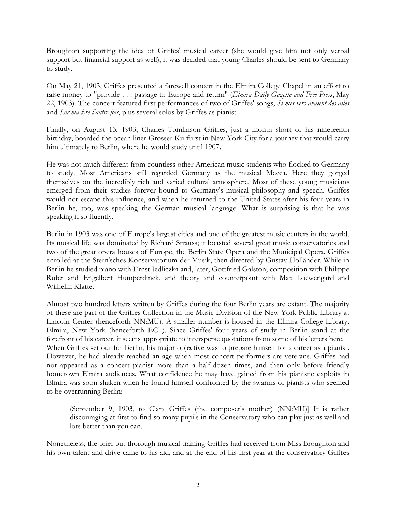Broughton supporting the idea of Griffes' musical career (she would give him not only verbal support but financial support as well), it was decided that young Charles should be sent to Germany to study.

On May 21, 1903, Griffes presented a farewell concert in the Elmira College Chapel in an effort to raise money to "provide . . . passage to Europe and return" (*Elmira Daily Gazette and Free Press*, May 22, 1903). The concert featured first performances of two of Griffes' songs, *Si mes vers avaient des ailes* and *Sur ma lyre l'autre fois*, plus several solos by Griffes as pianist.

Finally, on August 13, 1903, Charles Tomlinson Griffes, just a month short of his nineteenth birthday, boarded the ocean liner Grosser Kurfürst in New York City for a journey that would carry him ultimately to Berlin, where he would study until 1907.

He was not much different from countless other American music students who flocked to Germany to study. Most Americans still regarded Germany as the musical Mecca. Here they gorged themselves on the incredibly rich and varied cultural atmosphere. Most of these young musicians emerged from their studies forever bound to Germany's musical philosophy and speech. Griffes would not escape this influence, and when he returned to the United States after his four years in Berlin he, too, was speaking the German musical language. What is surprising is that he was speaking it so fluently.

Berlin in 1903 was one of Europe's largest cities and one of the greatest music centers in the world. Its musical life was dominated by Richard Strauss; it boasted several great music conservatories and two of the great opera houses of Europe, the Berlin State Opera and the Municipal Opera. Griffes enrolled at the Stern'sches Konservatorium der Musik, then directed by Gustav Holländer. While in Berlin he studied piano with Ernst Jedliczka and, later, Gottfried Galston; composition with Philippe Rufer and Engelbert Humperdinck, and theory and counterpoint with Max Loewengard and Wilhelm Klatte.

Almost two hundred letters written by Griffes during the four Berlin years are extant. The majority of these are part of the Griffes Collection in the Music Division of the New York Public Library at Lincoln Center (henceforth NN:MU). A smaller number is housed in the Elmira College Library. Elmira, New York (henceforth ECL). Since Griffes' four years of study in Berlin stand at the forefront of his career, it seems appropriate to intersperse quotations from some of his letters here. When Griffes set out for Berlin, his major objective was to prepare himself for a career as a pianist. However, he had already reached an age when most concert performers are veterans. Griffes had not appeared as a concert pianist more than a half-dozen times, and then only before friendly hometown Elmira audiences. What confidence he may have gained from his pianistic exploits in Elmira was soon shaken when he found himself confronted by the swarms of pianists who seemed to be overrunning Berlin:

(September 9, 1903, to Clara Griffes (the composer's mother) (NN:MU)] It is rather discouraging at first to find so many pupils in the Conservatory who can play just as well and lots better than you can.

Nonetheless, the brief but thorough musical training Griffes had received from Miss Broughton and his own talent and drive came to his aid, and at the end of his first year at the conservatory Griffes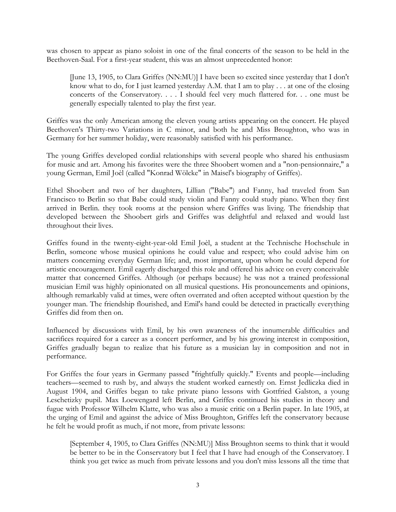was chosen to appear as piano soloist in one of the final concerts of the season to be held in the Beethoven-Saal. For a first-year student, this was an almost unprecedented honor:

[June 13, 1905, to Clara Griffes (NN:MU)] I have been so excited since yesterday that I don't know what to do, for I just learned yesterday A.M. that I am to play  $\dots$  at one of the closing concerts of the Conservatory. . . . I should feel very much flattered for. . . one must be generally especially talented to play the first year.

Griffes was the only American among the eleven young artists appearing on the concert. He played Beethoven's Thirty-two Variations in C minor, and both he and Miss Broughton, who was in Germany for her summer holiday, were reasonably satisfied with his performance.

The young Griffes developed cordial relationships with several people who shared his enthusiasm for music and art. Among his favorites were the three Shoobert women and a "non-pensionnaire," a young German, Emil Joèl (called "Konrad Wölcke" in Maisel's biography of Griffes).

Ethel Shoobert and two of her daughters, Lillian ("Babe") and Fanny, had traveled from San Francisco to Berlin so that Babe could study violin and Fanny could study piano. When they first arrived in Berlin. they took rooms at the pension where Griffes was living. The friendship that developed between the Shoobert girls and Griffes was delightful and relaxed and would last throughout their lives.

Griffes found in the twenty-eight-year-old Emil Joèl, a student at the Technische Hochschule in Berlin, someone whose musical opinions he could value and respect; who could advise him on matters concerning everyday German life; and, most important, upon whom he could depend for artistic encouragement. Emil eagerly discharged this role and offered his advice on every conceivable matter that concerned Griffes. Although (or perhaps because) he was not a trained professional musician Emil was highly opinionated on all musical questions. His pronouncements and opinions, although remarkably valid at times, were often overrated and often accepted without question by the younger man. The friendship flourished, and Emil's hand could be detected in practically everything Griffes did from then on.

Influenced by discussions with Emil, by his own awareness of the innumerable difficulties and sacrifices required for a career as a concert performer, and by his growing interest in composition, Griffes gradually began to realize that his future as a musician lay in composition and not in performance.

For Griffes the four years in Germany passed "frightfully quickly." Events and people—including teachers—seemed to rush by, and always the student worked earnestly on. Ernst Jedliczka died in August 1904, and Griffes began to take private piano lessons with Gottfried Galston, a young Leschetizky pupil. Max Loewengard left Berlin, and Griffes continued his studies in theory and fugue with Professor Wilhelm Klatte, who was also a music critic on a Berlin paper. In late 1905, at the urging of Emil and against the advice of Miss Broughton, Griffes left the conservatory because he felt he would profit as much, if not more, from private lessons:

[September 4, 1905, to Clara Griffes (NN:MU)] Miss Broughton seems to think that it would be better to be in the Conservatory but I feel that I have had enough of the Conservatory. I think you get twice as much from private lessons and you don't miss lessons all the time that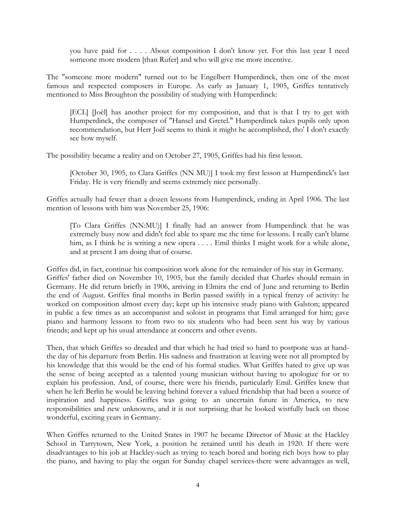you have paid for . . . . About composition I don't know yet. For this last year I need someone more modern [than Rufer] and who will give me more incentive.

The "someone more modern" turned out to be Engelbert Humperdinck, then one of the most famous and respected composers in Europe. As early as January 1, 1905, Griffes tentatively mentioned to Miss Broughton the possibility of studying with Humperdinck:

[ECL] [Joèl] has another project for my composition, and that is that I try to get with Humperdinck, the composer of "Hansel and Gretel." Humperdinck takes pupils only upon recommendation, but Herr Joèl seems to think it might he accomplished, tho' I don't exactly see how myself.

The possibility became a reality and on October 27, 1905, Griffes had his first lesson.

[October 30, 1905, to Clara Griffes (NN MU)] I took my first lesson at Humperdinck's last Friday. He is very friendly and seems extremely nice personally.

Griffes actually had fewer than a dozen lessons from Humperdinck, ending in April 1906. The last mention of lessons with him was November 25, 1906:

[To Clara Griffes (NN:MU)] I finally had an answer from Humperdinck that he was extremely busy now and didn't feel able to spare me the time for lessons. I really can't blame him, as I think he is writing a new opera . . . . Emil thinks I might work for a while alone, and at present I am doing that of course.

Griffes did, in fact, continue his composition work alone for the remainder of his stay in Germany. Griffes' father died on November 10, 1905, but the family decided that Charles should remain in Germany. He did return briefly in 1906, arriving in Elmira the end of June and returning to Berlin the end of August. Griffes final months in Berlin passed swiftly in a typical frenzy of activity: he worked on composition almost every day; kept up his intensive study piano with Galston; appeared in public a few times as an accompanist and soloist in programs that Emil arranged for him; gave piano and harmony lessons to from two to six students who had been sent his way by various friends; and kept up his usual attendance at concerts and other events.

Then, that which Griffes so dreaded and that which he had tried so hard to postpone was at handthe day of his departure from Berlin. His sadness and frustration at leaving were not all prompted by his knowledge that this would be the end of his formal studies. What Griffes hated to give up was the sense of being accepted as a talented young musician without having to apologize for or to explain his profession. And, of course, there were his friends, particularly Emil. Griffes knew that when he left Berlin he would be leaving behind forever a valued friendship that had been a source of inspiration and happiness. Griffes was going to an uncertain future in America, to new responsibilities and new unknowns, and it is not surprising that he looked wistfully back on those wonderful, exciting years in Germany.

When Griffes returned to the United States in 1907 he became Director of Music at the Hackley School in Tarrytown, New York, a position he retained until his death in 1920. If there were disadvantages to his job at Hackley-such as trying to teach bored and boring rich boys how to play the piano, and having to play the organ for Sunday chapel services-there were advantages as well,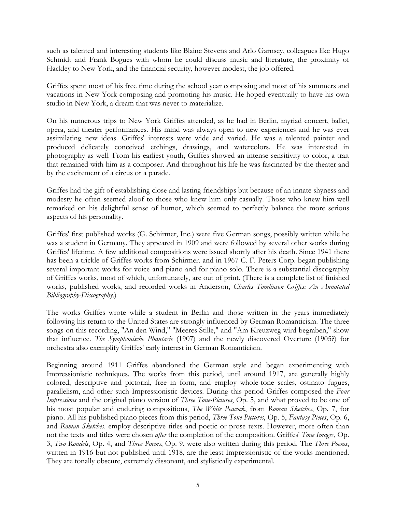such as talented and interesting students like Blaine Stevens and Arlo Garnsey, colleagues like Hugo Schmidt and Frank Bogues with whom he could discuss music and literature, the proximity of Hackley to New York, and the financial security, however modest, the job offered.

Griffes spent most of his free time during the school year composing and most of his summers and vacations in New York composing and promoting his music. He hoped eventually to have his own studio in New York, a dream that was never to materialize.

On his numerous trips to New York Griffes attended, as he had in Berlin, myriad concert, ballet, opera, and theater performances. His mind was always open to new experiences and he was ever assimilating new ideas. Griffes' interests were wide and varied. He was a talented painter and produced delicately conceived etchings, drawings, and watercolors. He was interested in photography as well. From his earliest youth, Griffes showed an intense sensitivity to color, a trait that remained with him as a composer. And throughout his life he was fascinated by the theater and by the excitement of a circus or a parade.

Griffes had the gift of establishing close and lasting friendships but because of an innate shyness and modesty he often seemed aloof to those who knew him only casually. Those who knew him well remarked on his delightful sense of humor, which seemed to perfectly balance the more serious aspects of his personality.

Griffes' first published works (G. Schirmer, Inc.) were five German songs, possibly written while he was a student in Germany. They appeared in 1909 and were followed by several other works during Griffes' lifetime. A few additional compositions were issued shortly after his death. Since 1941 there has been a trickle of Griffes works from Schirmer. and in 1967 C. F. Peters Corp. began publishing several important works for voice and piano and for piano solo. There is a substantial discography of Griffes works, most of which, unfortunately, are out of print. (There is a complete list of finished works, published works, and recorded works in Anderson, *Charles Tomlinson Griffes: An Annotated Bibliography-Discography*.)

The works Griffes wrote while a student in Berlin and those written in the years immediately following his return to the United States are strongly influenced by German Romanticism. The three songs on this recording, "An den Wind," "Meeres Stille," and "Am Kreuzweg wird begraben," show that influence. *The Symphonische Phantasie* (1907) and the newly discovered Overture (1905?) for orchestra also exemplify Griffes' early interest in German Romanticism.

Beginning around 1911 Griffes abandoned the German style and began experimenting with Impressionistic techniques. The works from this period, until around 1917, are generally highly colored, descriptive and pictorial, free in form, and employ whole-tone scales, ostinato fugues, parallelism, and other such Impressionistic devices. During this period Griffes composed the *Four Impressions* and the original piano version of *Three Tone-Pictures*, Op. 5, and what proved to be one of his most popular and enduring compositions, *The White Peacock*, from *Roman Sketches*, Op. 7, for piano. All his published piano pieces from this period, *Three Tone-Pictures*, Op. 5, *Fantasy Pieces*, Op. 6, and *Roman Sketches*. employ descriptive titles and poetic or prose texts. However, more often than not the texts and titles were chosen *after* the completion of the composition. Griffes' *Tone Images*, Op. 3, *Two Rondels*, Op. 4, and *Three Poems*, Op. 9, were also written during this period. The *Three Poems*, written in 1916 but not published until 1918, are the least Impressionistic of the works mentioned. They are tonally obscure, extremely dissonant, and stylistically experimental.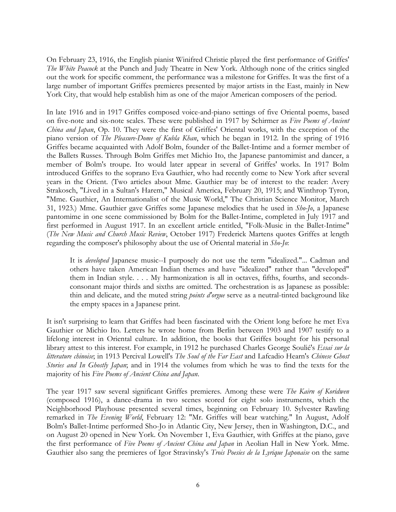On February 23, 1916, the English pianist Winifred Christie played the first performance of Griffes' *The White Peacock* at the Punch and Judy Theatre in New York. Although none of the critics singled out the work for specific comment, the performance was a milestone for Griffes. It was the first of a large number of important Griffes premieres presented by major artists in the East, mainly in New York City, that would help establish him as one of the major American composers of the period.

In late 1916 and in 1917 Griffes composed voice-and-piano settings of five Oriental poems, based on five-note and six-note scales. These were published in 1917 by Schirmer as *Five Poems of Ancient China and Japan*, Op. 10. They were the first of Griffes' Oriental works, with the exception of the piano version of *The Pleasure-Dome of Kubla Khan*, which he began in 1912. In the spring of 1916 Griffes became acquainted with Adolf Bolm, founder of the Ballet-Intime and a former member of the Ballets Russes. Through Bolm Griffes met Michio Ito, the Japanese pantomimist and dancer, a member of Bolm's troupe. Ito would later appear in several of Griffes' works. In 1917 Bolm introduced Griffes to the soprano Eva Gauthier, who had recently come to New York after several years in the Orient. (Two articles about Mme. Gauthier may be of interest to the reader: Avery Strakosch, "Lived in a Sultan's Harem," Musical America, February 20, 1915; and Winthrop Tyron, "Mme. Gauthier, An Internationalist of the Music World," The Christian Science Monitor, March 31, 1923.) Mme. Gauthier gave Griffes some Japanese melodies that he used in *Sho-Jo*, a Japanese pantomime in one scene commissioned by Bolm for the Ballet-Intime, completed in July 1917 and first performed in August 1917. In an excellent article entitled, "Folk-Music in the Ballet-Intime" (*The New Music and Church Music Review*, October 1917) Frederick Martens quotes Griffes at length regarding the composer's philosophy about the use of Oriental material in *Sho-Jo*:

It is *developed* Japanese music--I purposely do not use the term "idealized."... Cadman and others have taken American Indian themes and have "idealized" rather than "developed" them in Indian style. . . . My harmonization is all in octaves, fifths, fourths, and secondsconsonant major thirds and sixths are omitted. The orchestration is as Japanese as possible: thin and delicate, and the muted string *points d'orgue* serve as a neutral-tinted background like the empty spaces in a Japanese print.

It isn't surprising to learn that Griffes had been fascinated with the Orient long before he met Eva Gauthier or Michio Ito. Letters he wrote home from Berlin between 1903 and 1907 testify to a lifelong interest in Oriental culture. In addition, the books that Griffes bought for his personal library attest to this interest. For example, in 1912 he purchased Charles George Soulié's *Essai sur la litterature chinoise*; in 1913 Percival Lowell's *The Soul of the Far East* and Lafcadio Hearn's *Chinese Ghost Stories and In Ghostly Japan*; and in 1914 the volumes from which he was to find the texts for the majority of his *Five Poems of Ancient China and Japan*.

The year 1917 saw several significant Griffes premieres. Among these were *The Kairn of Koridwen* (composed 1916), a dance-drama in two scenes scored for eight solo instruments, which the Neighborhood Playhouse presented several times, beginning on February 10. Sylvester Rawling remarked in *The Evening World*, February 12: "Mr. Griffes will bear watching." In August, Adolf Bolm's Ballet-Intime performed Sho-Jo in Atlantic City, New Jersey, then in Washington, D.C., and on August 20 opened in New York. On November 1, Eva Gauthier, with Griffes at the piano, gave the first performance of *Five Poems of Ancient China and Japan* in Aeolian Hall in New York. Mme. Gauthier also sang the premieres of Igor Stravinsky's *Trois Poesies de la Lyrique Japonaise* on the same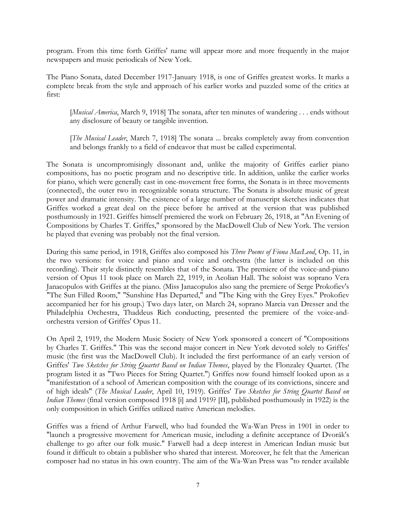program. From this time forth Griffes' name will appear more and more frequently in the major newspapers and music periodicals of New York.

The Piano Sonata, dated December 1917-January 1918, is one of Griffes greatest works. It marks a complete break from the style and approach of his earlier works and puzzled some of the critics at first:

[*Musical America*, March 9, 1918] The sonata, after ten minutes of wandering . . . ends without any disclosure of beauty or tangible invention.

[*The Musical Leader*, March 7, 1918] The sonata ... breaks completely away from convention and belongs frankly to a field of endeavor that must be called experimental.

The Sonata is uncompromisingly dissonant and, unlike the majority of Griffes earlier piano compositions, has no poetic program and no descriptive title. In addition, unlike the earlier works for piano, which were generally cast in one-movement free forms, the Sonata is in three movements (connected), the outer two in recognizable sonata structure. The Sonata is absolute music of great power and dramatic intensity. The existence of a large number of manuscript sketches indicates that Griffes worked a great deal on the piece before he arrived at the version that was published posthumously in 1921. Griffes himself premiered the work on February 26, 1918, at "An Evening of Compositions by Charles T. Griffes," sponsored by the MacDowell Club of New York. The version he played that evening was probably not the final version.

During this same period, in 1918, Griffes also composed his *Three Poems of Fiona MacLeod*, Op. 11, in the two versions: for voice and piano and voice and orchestra (the latter is included on this recording). Their style distinctly resembles that of the Sonata. The premiere of the voice-and-piano version of Opus 11 took place on March 22, 1919, in Aeolian Hall. The soloist was soprano Vera Janacopulos with Griffes at the piano. (Miss Janacopulos also sang the premiere of Serge Prokofiev's "The Sun Filled Room," "Sunshine Has Departed," and "The King with the Grey Eyes." Prokofiev accompanied her for his group.) Two days later, on March 24, soprano Marcia van Dresser and the Philadelphia Orchestra, Thaddeus Rich conducting, presented the premiere of the voice-andorchestra version of Griffes' Opus 11.

On April 2, 1919, the Modern Music Society of New York sponsored a concert of "Compositions by Charles T. Griffes." This was the second major concert in New York devoted solely to Griffes' music (the first was the MacDowell Club). It included the first performance of an early version of Griffes' *Two Sketches for String Quartet Based on Indian Themes*, played by the Flonzaley Quartet. (The program listed it as "Two Pieces for String Quartet.") Griffes now found himself looked upon as a "manifestation of a school of American composition with the courage of its convictions, sincere and of high ideals" (*The Musical Leader*, April 10, 1919). Griffes' *Two Sketches for String Quartet Based on Indian Themes* (final version composed 1918 [i] and 1919? [II], published posthumously in 1922) is the only composition in which Griffes utilized native American melodies.

Griffes was a friend of Arthur Farwell, who had founded the Wa-Wan Press in 1901 in order to "launch a progressive movement for American music, including a definite acceptance of Dvorák's challenge to go after our folk music." Farwell had a deep interest in American Indian music but found it difficult to obtain a publisher who shared that interest. Moreover, he felt that the American composer had no status in his own country. The aim of the Wa-Wan Press was "to render available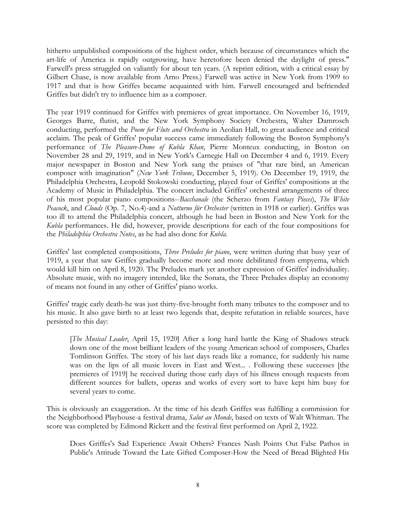hitherto unpublished compositions of the highest order, which because of circumstances which the art-life of America is rapidly outgrowing, have heretofore been denied the daylight of press." Farwell's press struggled on valiantly for about ten years. (A reprint edition, with a critical essay by Gilbert Chase, is now available from Arno Press.) Farwell was active in New York from 1909 to 1917 and that is how Griffes became acquainted with him. Farwell encouraged and befriended Griffes but didn't try to influence him as a composer.

The year 1919 continued for Griffes with premieres of great importance. On November 16, 1919, Georges Barre, flutist, and the New York Symphony Society Orchestra, Walter Damrosch conducting, performed the *Poem for Flute and Orchestra* in Aeolian Hall, to great audience and critical acclaim. The peak of Griffes' popular success came immediately following the Boston Symphony's performance of *The Pleasure-Dome of Kubla Khan*, Pierre Monteux conducting, in Boston on November 28 and 29, 1919, and in New York's Carnegie Hall on December 4 and 6, 1919. Every major newspaper in Boston and New York sang the praises of "that rare bird, an American composer with imagination" (*New York Tribune*, December 5, 1919). On December 19, 1919, the Philadelphia Orchestra, Leopold Stokowski conducting, played four of Griffes' compositions at the Academy of Music in Philadelphia. The concert included Griffes' orchestral arrangements of three of his most popular piano compositions--*Bacchanale* (the Scherzo from *Fantasy Pieces*), *The White Peacock*, and *Clouds* (Op. 7, No.4)-and a *Notturno für Orchester* (written in 1918 or earlier). Griffes was too ill to attend the Philadelphia concert, although he had been in Boston and New York for the *Kubla* performances. He did, however, provide descriptions for each of the four compositions for the *Philadelphia Orchestra Notes*, as he had also done for *Kubla.*

Griffes' last completed compositions, *Three Preludes for piano*, were written during that busy year of 1919, a year that saw Griffes gradually become more and more debilitated from empyema, which would kill him on April 8, 1920. The Preludes mark yet another expression of Griffes' individuality. Absolute music, with no imagery intended, like the Sonata, the Three Preludes display an economy of means not found in any other of Griffes' piano works.

Griffes' tragic early death-he was just thirty-five-brought forth many tributes to the composer and to his music. It also gave birth to at least two legends that, despite refutation in reliable sources, have persisted to this day:

[*The Musical Leader*, April 15, 1920] After a long hard battle the King of Shadows struck down one of the most brilliant leaders of the young American school of composers, Charles Tomlinson Griffes. The story of his last days reads like a romance, for suddenly his name was on the lips of all music lovers in East and West... . Following these successes [the premieres of 1919] he received during those early days of his illness enough requests from different sources for ballets, operas and works of every sort to have kept him busy for several years to come.

This is obviously an exaggeration. At the time of his death Griffes was fulfilling a commission for the Neighborhood Playhouse-a festival drama, *Salut au Monde*, based on texts of Walt Whitman. The score was completed by Edmond Rickett and the festival first performed on April 2, 1922.

Does Griffes's Sad Experience Await Others? Frances Nash Points Out False Pathos in Public's Attitude Toward the Late Gifted Composer-How the Need of Bread Blighted His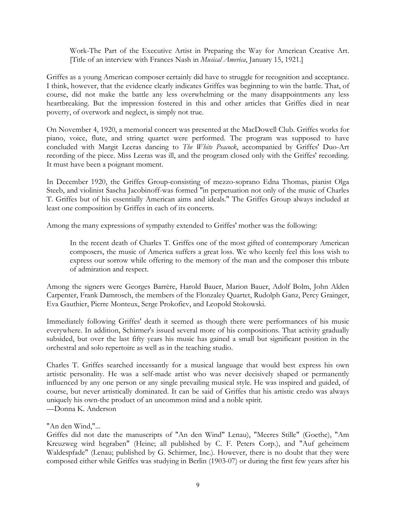Work-The Part of the Executive Artist in Preparing the Way for American Creative Art. [Title of an interview with Frances Nash in *Musical America*, January 15, 1921.]

Griffes as a young American composer certainly did have to struggle for recognition and acceptance. I think, however, that the evidence clearly indicates Griffes was beginning to win the battle. That, of course, did not make the battle any less overwhelming or the many disappointments any less heartbreaking. But the impression fostered in this and other articles that Griffes died in near poverty, of overwork and neglect, is simply not true.

On November 4, 1920, a memorial concert was presented at the MacDowell Club. Griffes works for piano, voice, flute, and string quartet were performed. The program was supposed to have concluded with Margit Leeras dancing to *The White Peacock*, accompanied by Griffes' Duo-Art recording of the piece. Miss Leeras was ill, and the program closed only with the Griffes' recording. It must have been a poignant moment.

In December 1920, the Griffes Group-consisting of mezzo-soprano Edna Thomas, pianist Olga Steeb, and violinist Sascha Jacobinoff-was formed "in perpetuation not only of the music of Charles T. Griffes but of his essentially American aims and ideals." The Griffes Group always included at least one composition by Griffes in each of its concerts.

Among the many expressions of sympathy extended to Griffes' mother was the following:

In the recent death of Charles T. Griffes one of the most gifted of contemporary American composers, the music of America suffers a great loss. We who keenly feel this loss wish to express our sorrow while offering to the memory of the man and the composer this tribute of admiration and respect.

Among the signers were Georges Barrère, Harold Bauer, Marion Bauer, Adolf Bolm, John Alden Carpenter, Frank Damrosch, the members of the Flonzaley Quartet, Rudolph Ganz, Percy Grainger, Eva Gauthier, Pierre Monteux, Serge Prokofiev, and Leopold Stokowski.

Immediately following Griffes' death it seemed as though there were performances of his music everywhere. In addition, Schirmer's issued several more of his compositions. That activity gradually subsided, but over the last fifty years his music has gained a small but significant position in the orchestral and solo repertoire as well as in the teaching studio.

Charles T. Griffes searched incessantly for a musical language that would best express his own artistic personality. He was a self-made artist who was never decisively shaped or permanently influenced by any one person or any single prevailing musical style. He was inspired and guided, of course, but never artistically dominated. It can be said of Griffes that his artistic credo was always uniquely his own-the product of an uncommon mind and a noble spirit. —Donna K. Anderson

## "An den Wind,"...

Griffes did not date the manuscripts of "An den Wind" Lenau), "Meeres Stille" (Goethe), "Am Kreuzweg wird hegraben" (Heine; all published by C. F. Peters Corp.), and "Auf geheimem Waldespfade" (Lenau; published by G. Schirmer, Inc.). However, there is no doubt that they were composed either while Griffes was studying in Berlin (1903-07) or during the first few years after his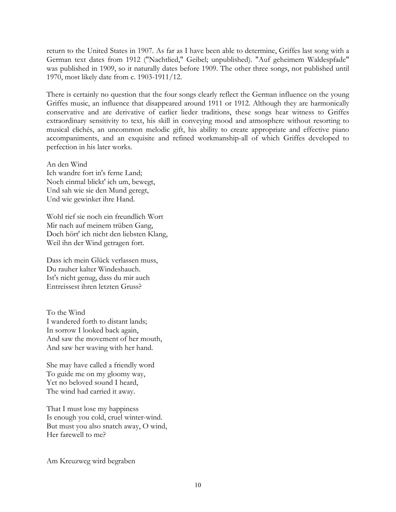return to the United States in 1907. As far as I have been able to determine, Griffes last song with a German text dates from 1912 ("Nachtlied," Geibel; unpublished). "Auf geheimem Waldespfade" was published in 1909, so it naturally dates before 1909. The other three songs, not published until 1970, most likely date from c. 1903-1911/12.

There is certainly no question that the four songs clearly reflect the German influence on the young Griffes music, an influence that disappeared around 1911 or 1912. Although they are harmonically conservative and are derivative of earlier lieder traditions, these songs hear witness to Griffes extraordinary sensitivity to text, his skill in conveying mood and atmosphere without resorting to musical clichés, an uncommon melodic gift, his ability to create appropriate and effective piano accompaniments, and an exquisite and refined workmanship-all of which Griffes developed to perfection in his later works.

An den Wind Ich wandre fort in's ferne Land; Noch einmal blickt' ich um, bewegt, Und sah wie sie den Mund geregt, Und wie gewinket ihre Hand.

Wohl rief sie noch ein freundlich Wort Mir nach auf meinem trüben Gang, Doch hört' ich nicht den liebsten Klang, Weil ihn der Wind getragen fort.

Dass ich mein Glück verlassen muss, Du rauher kalter Windeshauch. Ist's nicht genug, dass du mir auch Entreissest ihren letzten Gruss?

To the Wind I wandered forth to distant lands; In sorrow I looked back again, And saw the movement of her mouth, And saw her waving with her hand.

She may have called a friendly word To guide me on my gloomy way, Yet no beloved sound I heard, The wind had carried it away.

That I must lose my happiness Is enough you cold, cruel winter-wind. But must you also snatch away, O wind, Her farewell to me?

Am Kreuzweg wird begraben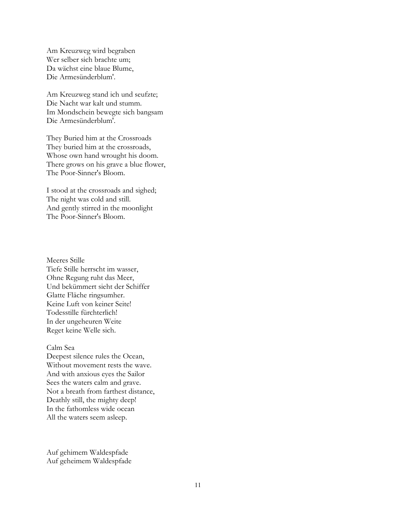Am Kreuzweg wird begraben Wer selber sich brachte um; Da wächst eine blaue Blume, Die Armesünderblum'.

Am Kreuzweg stand ich und seufzte; Die Nacht war kalt und stumm. Im Mondschein bewegte sich bangsam Die Armesünderblum'.

They Buried him at the Crossroads They buried him at the crossroads, Whose own hand wrought his doom. There grows on his grave a blue flower, The Poor-Sinner's Bloom.

I stood at the crossroads and sighed; The night was cold and still. And gently stirred in the moonlight The Poor-Sinner's Bloom.

Meeres Stille Tiefe Stille herrscht im wasser, Ohne Regung ruht das Meer, Und bekümmert sieht der Schiffer Glatte Fläche ringsumher. Keine Luft von keiner Seite! Todesstille fürchterlich! In der ungeheuren Weite Reget keine Welle sich.

#### Calm Sea

Deepest silence rules the Ocean, Without movement rests the wave. And with anxious eyes the Sailor Sees the waters calm and grave. Not a breath from farthest distance, Deathly still, the mighty deep! In the fathomless wide ocean All the waters seem asleep.

Auf gehimem Waldespfade Auf geheimem Waldespfade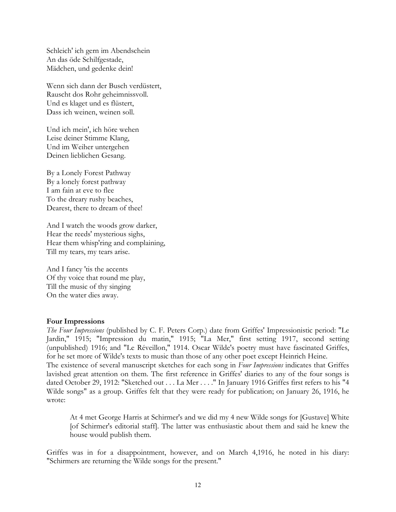Schleich' ich gern im Abendschein An das öde Schilfgestade, Mädchen, und gedenke dein!

Wenn sich dann der Busch verdüstert, Rauscht dos Rohr geheimnissvoll. Und es klaget und es flüstert, Dass ich weinen, weinen soll.

Und ich mein', ich höre wehen Leise deiner Stimme Klang, Und im Weiher untergehen Deinen lieblichen Gesang.

By a Lonely Forest Pathway By a lonely forest pathway I am fain at eve to flee To the dreary rushy beaches, Dearest, there to dream of thee!

And I watch the woods grow darker, Hear the reeds' mysterious sighs, Hear them whisp'ring and complaining, Till my tears, my tears arise.

And I fancy 'tis the accents Of thy voice that round me play, Till the music of thy singing On the water dies away.

### **Four Impressions**

*The Four Impressions* (published by C. F. Peters Corp.) date from Griffes' Impressionistic period: "Le Jardin," 1915; "Impression du matin," 1915; "La Mer," first setting 1917, second setting (unpublished) 1916; and "Le Réveillon," 1914. Oscar Wilde's poetry must have fascinated Griffes, for he set more of Wilde's texts to music than those of any other poet except Heinrich Heine.

The existence of several manuscript sketches for each song in *Four Impressions* indicates that Griffes lavished great attention on them. The first reference in Griffes' diaries to any of the four songs is dated October 29, 1912: "Sketched out . . . La Mer . . . ." In January 1916 Griffes first refers to his "4 Wilde songs" as a group. Griffes felt that they were ready for publication; on January 26, 1916, he wrote:

At 4 met George Harris at Schirmer's and we did my 4 new Wilde songs for [Gustave] White [of Schirmer's editorial staff]. The latter was enthusiastic about them and said he knew the house would publish them.

Griffes was in for a disappointment, however, and on March 4,1916, he noted in his diary: "Schirmers are returning the Wilde songs for the present."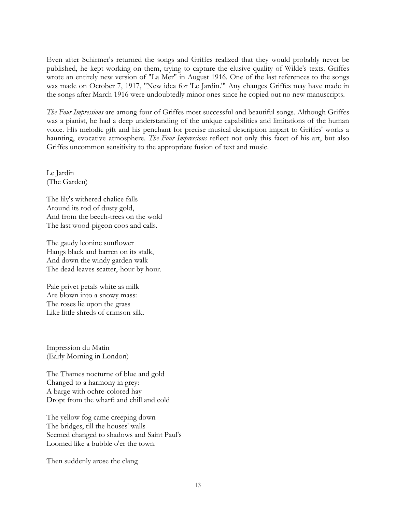Even after Schirmer's returned the songs and Griffes realized that they would probably never be published, he kept working on them, trying to capture the elusive quality of Wilde's texts. Griffes wrote an entirely new version of "La Mer" in August 1916. One of the last references to the songs was made on October 7, 1917, "New idea for 'Le Jardin.'" Any changes Griffes may have made in the songs after March 1916 were undoubtedly minor ones since he copied out no new manuscripts.

*The Four Impressions* are among four of Griffes most successful and beautiful songs. Although Griffes was a pianist, he had a deep understanding of the unique capabilities and limitations of the human voice. His melodic gift and his penchant for precise musical description impart to Griffes' works a haunting, evocative atmosphere. *The Four Impressions* reflect not only this facet of his art, but also Griffes uncommon sensitivity to the appropriate fusion of text and music.

Le Jardin (The Garden)

The lily's withered chalice falls Around its rod of dusty gold, And from the beech-trees on the wold The last wood-pigeon coos and calls.

The gaudy leonine sunflower Hangs black and barren on its stalk, And down the windy garden walk The dead leaves scatter,-hour by hour.

Pale privet petals white as milk Are blown into a snowy mass: The roses lie upon the grass Like little shreds of crimson silk.

Impression du Matin (Early Morning in London)

The Thames nocturne of blue and gold Changed to a harmony in grey: A barge with ochre-colored hay Dropt from the wharf: and chill and cold

The yellow fog came creeping down The bridges, till the houses' walls Seemed changed to shadows and Saint Paul's Loomed like a bubble o'er the town.

Then suddenly arose the clang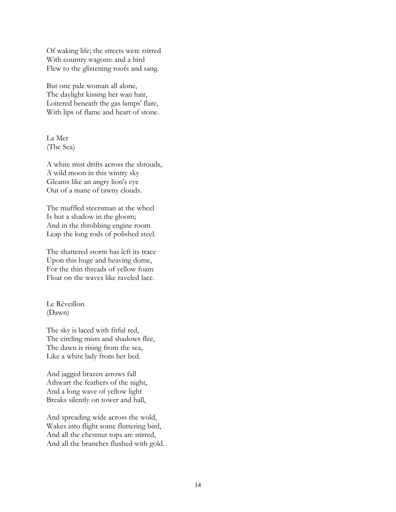Of waking life; the streets were stirred With country wagons: and a bird Flew to the glistening roofs and sang.

But one pale woman all alone, The daylight kissing her wan hair, Loitered beneath the gas lamps' flare, With lips of flame and heart of stone.

La Mer (The Sea)

A white mist drifts across the shrouds, A wild moon in this wintry sky Gleams like an angry lion's eye Out of a mane of tawny clouds.

The muffled steersman at the wheel Is but a shadow in the gloom; And in the throbbing engine room Leap the long rods of polished steel.

The shattered storm has left its trace Upon this huge and heaving dome, For the thin threads of yellow foam Float on the waves like raveled lace.

Le Réveillon (Dawn)

The sky is laced with fitful red, The circling mists and shadows flee, The dawn is rising from the sea, Like a white lady from her bed.

And jagged brazen arrows fall Athwart the feathers of the night, And a long wave of yellow light Breaks silently on tower and hall,

And spreading wide across the wold, Wakes into flight some fluttering bird, And all the chestnut tops are stirred, And all the branches flushed with gold.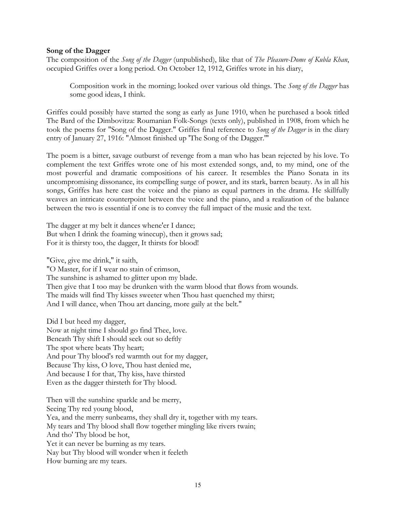### **Song of the Dagger**

The composition of the *Song of the Dagger* (unpublished), like that of *The Pleasure-Dome of Kubla Khan*, occupied Griffes over a long period. On October 12, 1912, Griffes wrote in his diary,

Composition work in the morning; looked over various old things. The *Song of the Dagger* has some good ideas, I think.

Griffes could possibly have started the song as early as June 1910, when he purchased a book titled The Bard of the Dimbovitza: Roumanian Folk-Songs (texts only), published in 1908, from which he took the poems for "Song of the Dagger." Griffes final reference to *Song of the Dagger* is in the diary entry of January 27, 1916: "Almost finished up 'The Song of the Dagger.'"

The poem is a bitter, savage outburst of revenge from a man who has bean rejected by his love. To complement the text Griffes wrote one of his most extended songs, and, to my mind, one of the most powerful and dramatic compositions of his career. It resembles the Piano Sonata in its uncompromising dissonance, its compelling surge of power, and its stark, barren beauty. As in all his songs, Griffes has here cast the voice and the piano as equal partners in the drama. He skillfully weaves an intricate counterpoint between the voice and the piano, and a realization of the balance between the two is essential if one is to convey the full impact of the music and the text.

The dagger at my belt it dances whene'er I dance; But when I drink the foaming winecup), then it grows sad; For it is thirsty too, the dagger, It thirsts for blood!

"Give, give me drink," it saith, "O Master, for if I wear no stain of crimson, The sunshine is ashamed to glitter upon my blade. Then give that I too may be drunken with the warm blood that flows from wounds. The maids will find Thy kisses sweeter when Thou hast quenched my thirst; And I will dance, when Thou art dancing, more gaily at the belt."

Did I but heed my dagger, Now at night time I should go find Thee, love. Beneath Thy shift I should seek out so deftly The spot where beats Thy heart; And pour Thy blood's red warmth out for my dagger, Because Thy kiss, O love, Thou hast denied me, And because I for that, Thy kiss, have thirsted Even as the dagger thirsteth for Thy blood.

Then will the sunshine sparkle and be merry, Seeing Thy red young blood, Yea, and the merry sunbeams, they shall dry it, together with my tears. My tears and Thy blood shall flow together mingling like rivers twain; And tho' Thy blood be hot, Yet it can never be burning as my tears. Nay but Thy blood will wonder when it feeleth How burning are my tears.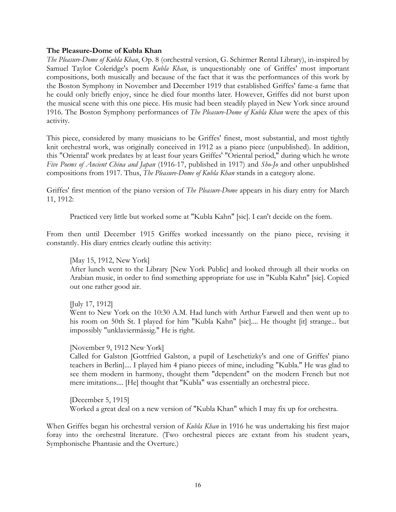### **The Pleasure-Dome of Kubla Khan**

*The Pleasure-Dome of Kubla Khan*, Op. 8 (orchestral version, G. Schirmer Rental Library), in-inspired by Samuel Taylor Coleridge's poem *Kubla Khan*, is unquestionably one of Griffes' most important compositions, both musically and because of the fact that it was the performances of this work by the Boston Symphony in November and December 1919 that established Griffes' fame-a fame that he could only briefly enjoy, since he died four months later. However, Griffes did not burst upon the musical scene with this one piece. His music had been steadily played in New York since around 1916. The Boston Symphony performances of *The Pleasure-Dome of Kubla Khan* were the apex of this activity.

This piece, considered by many musicians to be Griffes' finest, most substantial, and most tightly knit orchestral work, was originally conceived in 1912 as a piano piece (unpublished). In addition, this "Oriental' work predates by at least four years Griffes' "Oriental period," during which he wrote *Five Poems of Ancient China and Japan* (1916-17, published in 1917) and *Sho-Jo* and other unpublished compositions from 1917. Thus, *The Pleasure-Dome of Kubla Khan* stands in a category alone.

Griffes' first mention of the piano version of *The Pleasure-Dome* appears in his diary entry for March 11, 1912:

Practiced very little but worked some at "Kubla Kahn" [sic]. I can't decide on the form.

From then until December 1915 Griffes worked incessantly on the piano piece, revising it constantly. His diary entries clearly outline this activity:

## [May 15, 1912, New York]

After lunch went to the Library [New York Public] and looked through all their works on Arabian music, in order to find something appropriate for use in "Kubla Kahn" [sic]. Copied out one rather good air.

[July 17, 1912]

Went to New York on the 10:30 A.M. Had lunch with Arthur Farwell and then went up to his room on 50th St. I played for him "Kubla Kahn" [sic].... He thought [it] strange... but impossibly "unklaviermässig." He is right.

### [November 9, 1912 New York]

Called for Galston [Gottfried Galston, a pupil of Leschetizky's and one of Griffes' piano teachers in Berlin].... I played him 4 piano pieces of mine, including "Kubla." He was glad to see them modern in harmony, thought them "dependent" on the modern French but not mere imitations.... [He] thought that "Kubla" was essentially an orchestral piece.

[December 5, 1915] Worked a great deal on a new version of "Kubla Khan" which I may fix up for orchestra.

When Griffes began his orchestral version of *Kubla Khan* in 1916 he was undertaking his first major foray into the orchestral literature. (Two orchestral pieces are extant from his student years, Symphonische Phantasie and the Overture.)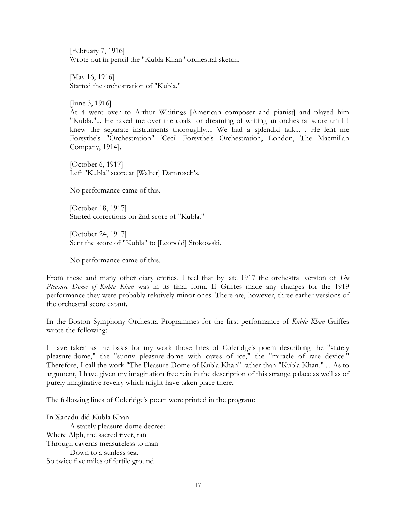[February 7, 1916] Wrote out in pencil the "Kubla Khan" orchestral sketch.

[May 16, 1916] Started the orchestration of "Kubla."

[June 3, 1916]

At 4 went over to Arthur Whitings [American composer and pianist] and played him "Kubla."... He raked me over the coals for dreaming of writing an orchestral score until I knew the separate instruments thoroughly.... We had a splendid talk... . He lent me Forsythe's "Orchestration" [Cecil Forsythe's Orchestration, London, The Macmillan Company, 1914].

[October 6, 1917] Left "Kubla" score at [Walter] Damrosch's.

No performance came of this.

[October 18, 1917] Started corrections on 2nd score of "Kubla."

[October 24, 1917] Sent the score of "Kubla" to [Leopold] Stokowski.

No performance came of this.

From these and many other diary entries, I feel that by late 1917 the orchestral version of *The Pleasure Dome of Kubla Khan* was in its final form. If Griffes made any changes for the 1919 performance they were probably relatively minor ones. There are, however, three earlier versions of the orchestral score extant.

In the Boston Symphony Orchestra Programmes for the first performance of *Kubla Khan* Griffes wrote the following:

I have taken as the basis for my work those lines of Coleridge's poem describing the "stately pleasure-dome," the "sunny pleasure-dome with caves of ice," the "miracle of rare device." Therefore, I call the work "The Pleasure-Dome of Kubla Khan" rather than "Kubla Khan." ... As to argument, I have given my imagination free rein in the description of this strange palace as well as of purely imaginative revelry which might have taken place there.

The following lines of Coleridge's poem were printed in the program:

In Xanadu did Kubla Khan A stately pleasure-dome decree: Where Alph, the sacred river, ran Through caverns measureless to man Down to a sunless sea. So twice five miles of fertile ground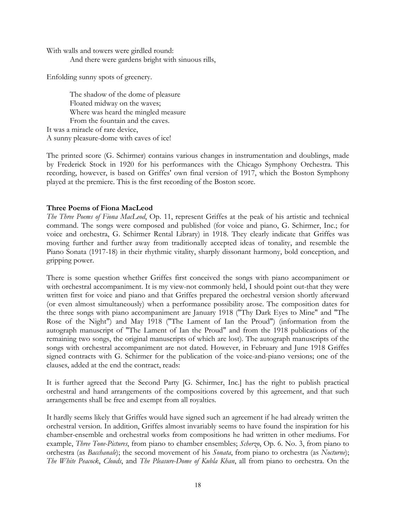With walls and towers were girdled round: And there were gardens bright with sinuous rills,

Enfolding sunny spots of greenery.

The shadow of the dome of pleasure Floated midway on the waves; Where was heard the mingled measure From the fountain and the caves. It was a miracle of rare device, A sunny pleasure-dome with caves of ice!

The printed score (G. Schirmer) contains various changes in instrumentation and doublings, made by Frederick Stock in 1920 for his performances with the Chicago Symphony Orchestra. This recording, however, is based on Griffes' own final version of 1917, which the Boston Symphony played at the premiere. This is the first recording of the Boston score.

# **Three Poems of Fiona MacLeod**

*The Three Poems of Fiona MacLeod*, Op. 11, represent Griffes at the peak of his artistic and technical command. The songs were composed and published (for voice and piano, G. Schirmer, Inc.; for voice and orchestra, G. Schirmer Rental Library) in 1918. They clearly indicate that Griffes was moving further and further away from traditionally accepted ideas of tonality, and resemble the Piano Sonata (1917-18) in their rhythmic vitality, sharply dissonant harmony, bold conception, and gripping power.

There is some question whether Griffes first conceived the songs with piano accompaniment or with orchestral accompaniment. It is my view-not commonly held, I should point out-that they were written first for voice and piano and that Griffes prepared the orchestral version shortly afterward (or even almost simultaneously) when a performance possibility arose. The composition dates for the three songs with piano accompaniment are January 1918 ("Thy Dark Eyes to Mine" and "The Rose of the Night") and May 1918 ("The Lament of Ian the Proud") (information from the autograph manuscript of "The Lament of Ian the Proud" and from the 1918 publications of the remaining two songs, the original manuscripts of which are lost). The autograph manuscripts of the songs with orchestral accompaniment are not dated. However, in February and June 1918 Griffes signed contracts with G. Schirmer for the publication of the voice-and-piano versions; one of the clauses, added at the end the contract, reads:

It is further agreed that the Second Party [G. Schirmer, Inc.] has the right to publish practical orchestral and hand arrangements of the compositions covered by this agreement, and that such arrangements shall be free and exempt from all royalties.

It hardly seems likely that Griffes would have signed such an agreement if he had already written the orchestral version. In addition, Griffes almost invariably seems to have found the inspiration for his chamber-ensemble and orchestral works from compositions he had written in other mediums. For example, *Three Tone-Pictures*, from piano to chamber ensembles; *Scherzo*, Op. 6. No. 3, from piano to orchestra (as *Bacchanale*); the second movement of his *Sonata*, from piano to orchestra (as *Nocturne*); *The White Peacock*, *Clouds*, and *The Pleasure-Dome of Kubla Khan*, all from piano to orchestra. On the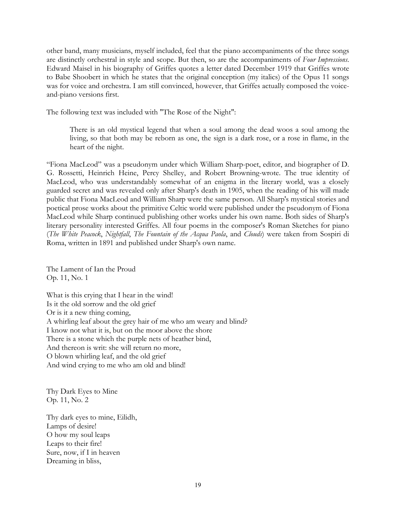other band, many musicians, myself included, feel that the piano accompaniments of the three songs are distinctly orchestral in style and scope. But then, so are the accompaniments of *Four Impressions*. Edward Maisel in his biography of Griffes quotes a letter dated December 1919 that Griffes wrote to Babe Shoobert in which he states that the original conception (my italics) of the Opus 11 songs was for voice and orchestra. I am still convinced, however, that Griffes actually composed the voiceand-piano versions first.

The following text was included with "The Rose of the Night":

There is an old mystical legend that when a soul among the dead woos a soul among the living, so that both may be reborn as one, the sign is a dark rose, or a rose in flame, in the heart of the night.

"Fiona MacLeod" was a pseudonym under which William Sharp-poet, editor, and biographer of D. G. Rossetti, Heinrich Heine, Percy Shelley, and Robert Browning-wrote. The true identity of MacLeod, who was understandably somewhat of an enigma in the literary world, was a closely guarded secret and was revealed only after Sharp's death in 1905, when the reading of his will made public that Fiona MacLeod and William Sharp were the same person. All Sharp's mystical stories and poetical prose works about the primitive Celtic world were published under the pseudonym of Fiona MacLeod while Sharp continued publishing other works under his own name. Both sides of Sharp's literary personality interested Griffes. All four poems in the composer's Roman Sketches for piano (*The White Peacock*, *Nightfall*, *The Fountain of the Acqua Paola*, and *Clouds*) were taken from Sospiri di Roma, written in 1891 and published under Sharp's own name.

The Lament of Ian the Proud Op. 11, No. 1

What is this crying that I hear in the wind! Is it the old sorrow and the old grief Or is it a new thing coming, A whirling leaf about the grey hair of me who am weary and blind? I know not what it is, but on the moor above the shore There is a stone which the purple nets of heather bind, And thereon is writ: she will return no more, O blown whirling leaf, and the old grief And wind crying to me who am old and blind!

Thy Dark Eyes to Mine Op. 11, No. 2

Thy dark eyes to mine, Eilidh, Lamps of desire! O how my soul leaps Leaps to their fire! Sure, now, if I in heaven Dreaming in bliss,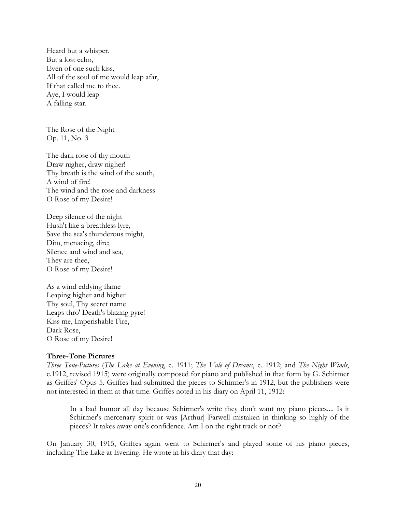Heard but a whisper, But a lost echo, Even of one such kiss, All of the soul of me would leap afar, If that called me to thee. Aye, I would leap A falling star.

The Rose of the Night Op. 11, No. 3

The dark rose of thy mouth Draw nigher, draw nigher! Thy breath is the wind of the south, A wind of fire! The wind and the rose and darkness O Rose of my Desire!

Deep silence of the night Hush't like a breathless lyre, Save the sea's thunderous might, Dim, menacing, dire; Silence and wind and sea, They are thee, O Rose of my Desire!

As a wind eddying flame Leaping higher and higher Thy soul, Thy secret name Leaps thro' Death's blazing pyre! Kiss me, Imperishable Fire, Dark Rose, O Rose of my Desire!

### **Three-Tone Pictures**

*Three Tone-Pictures* (*The Lake at Evening*, c. 1911; *The Vale of Dreams*, c. 1912; and *The Night Winds*, c.1912, revised 1915) were originally composed for piano and published in that form by G. Schirmer as Griffes' Opus 5. Griffes had submitted the pieces to Schirmer's in 1912, but the publishers were not interested in them at that time. Griffes noted in his diary on April 11, 1912:

In a bad humor all day because Schirmer's write they don't want my piano pieces.... Is it Schirmer's mercenary spirit or was [Arthur] Farwell mistaken in thinking so highly of the pieces? It takes away one's confidence. Am I on the right track or not?

On January 30, 1915, Griffes again went to Schirmer's and played some of his piano pieces, including The Lake at Evening. He wrote in his diary that day: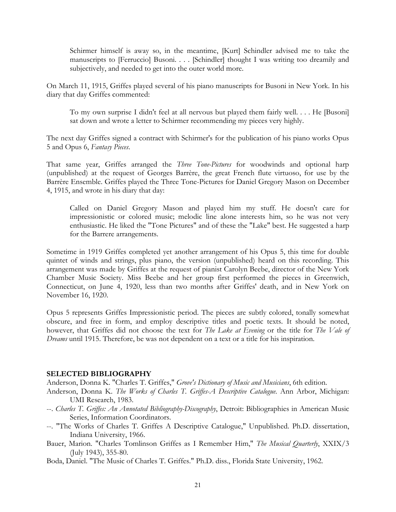Schirmer himself is away so, in the meantime, [Kurt] Schindler advised me to take the manuscripts to [Ferruccio] Busoni. . . . [Schindler] thought I was writing too dreamily and subjectively, and needed to get into the outer world more.

On March 11, 1915, Griffes played several of his piano manuscripts for Busoni in New York. In his diary that day Griffes commented:

To my own surprise I didn't feel at all nervous but played them fairly well. . . . He [Busoni] sat down and wrote a letter to Schirmer recommending my pieces very highly.

The next day Griffes signed a contract with Schirmer's for the publication of his piano works Opus 5 and Opus 6, *Fantasy Pieces*.

That same year, Griffes arranged the *Three Tone-Pictures* for woodwinds and optional harp (unpublished) at the request of Georges Barrère, the great French flute virtuoso, for use by the Barrère Ensemble. Griffes played the Three Tone-Pictures for Daniel Gregory Mason on December 4, 1915, and wrote in his diary that day:

Called on Daniel Gregory Mason and played him my stuff. He doesn't care for impressionistic or colored music; melodic line alone interests him, so he was not very enthusiastic. He liked the "Tone Pictures" and of these the "Lake" best. He suggested a harp for the Barrere arrangements.

Sometime in 1919 Griffes completed yet another arrangement of his Opus 5, this time for double quintet of winds and strings, plus piano, the version (unpublished) heard on this recording. This arrangement was made by Griffes at the request of pianist Carolyn Beebe, director of the New York Chamber Music Society. Miss Beebe and her group first performed the pieces in Greenwich, Connecticut, on June 4, 1920, less than two months after Griffes' death, and in New York on November 16, 1920.

Opus 5 represents Griffes Impressionistic period. The pieces are subtly colored, tonally somewhat obscure, and free in form, and employ descriptive titles and poetic texts. It should be noted, however, that Griffes did not choose the text for *The Lake at Evening* or the title for *The Vale of Dreams* until 1915. Therefore, be was not dependent on a text or a title for his inspiration.

### **SELECTED BIBLIOGRAPHY**

Anderson, Donna K. "Charles T. Griffes," *Grove's Dictionary of Music and Musicians*, 6th edition.

- Anderson, Donna K. *The Works of Charles T. Griffes-A Descriptive Catalogue*. Ann Arbor, Michigan: UMI Research, 1983.
- --. *Charles T. Griffes: An Annotated Bibliography-Discography*, Detroit: Bibliographies in American Music Series, Information Coordinators.
- --. "The Works of Charles T. Griffes A Descriptive Catalogue," Unpublished. Ph.D. dissertation, Indiana University, 1966.
- Bauer, Marion. "Charles Tomlinson Griffes as I Remember Him," *The Musical Quarterly*, XXIX/3 (July 1943), 355-80.
- Boda, Daniel. "The Music of Charles T. Griffes." Ph.D. diss., Florida State University, 1962.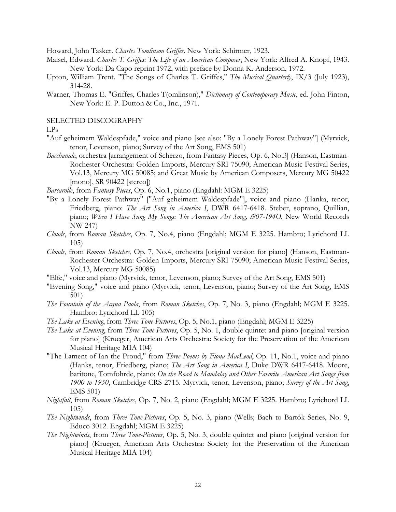Howard, John Tasker. *Charles Tomlinson Griffes*. New York: Schirmer, 1923.

- Maisel, Edward. *Charles T. Griffes: The Life of an American Composer*, New York: Alfred A. Knopf, 1943. New York: Da Capo reprint 1972, with preface by Donna K. Anderson, 1972.
- Upton, William Trent. "The Songs of Charles T. Griffes," *The Musical Quarterly*, IX/3 (July 1923), 314-28.
- Warner, Thomas E. "Griffes, Charles T(omlinson)," *Dictionary of Contemporary Music*, ed. John Finton, New York: E. P. Dutton & Co., Inc., 1971.

#### SELECTED DISCOGRAPHY

LPs

- "Auf geheimem Waldespfade," voice and piano [see also: "By a Lonely Forest Pathway"] (Myrvick, tenor, Levenson, piano; Survey of the Art Song, EMS 501)
- *Bacchanale*, orchestra [arrangement of Scherzo, from Fantasy Pieces, Op. 6, No.3] (Hanson, Eastman-Rochester Orchestra: Golden Imports, Mercury SRI 75090; American Music Festival Series, Vol.13, Mercury MG 50085; and Great Music by American Composers, Mercury MG 50422 [mono], SR 90422 [stereo])
- *Barcarolle*, from *Fantasy Pieces*, Op. 6, No.1, piano (Engdahl: MGM E 3225)
- "By a Lonely Forest Pathway" ["Auf geheimem Waldespfade"], voice and piano (Hanka, tenor, Friedberg, piano: *The Art Song in America I*, DWR 6417-6418. Steber, soprano, Quillian, piano; *When I Have Sung My Songs: The American Art Song, l907-194O*, New World Records NW 247)
- *Clouds*, from *Roman Sketches*, Op. 7, No.4, piano (Engdahl; MGM E 3225. Hambro; Lyrichord LL 105)
- *Clouds*, from *Roman Sketches*, Op. 7, No.4, orchestra [original version for piano] (Hanson, Eastman-Rochester Orchestra: Golden Imports, Mercury SRI 75090; American Music Festival Series, Vol.13, Mercury MG 50085)
- "Elfe," voice and piano (Myrvick, tenor, Levenson, piano; Survey of the Art Song, EMS 501)
- "Evening Song," voice and piano (Myrvick, tenor, Levenson, piano; Survey of the Art Song, EMS 501)
- *The Fountain of the Acqua Paola*, from *Roman Sketches*, Op. 7, No. 3, piano (Engdahl; MGM E 3225. Hambro: Lyrichord LL 105)
- *The Lake at Evening*, from *Three Tone-Pictures*, Op. 5, No.1, piano (Engdahl; MGM E 3225)
- *The Lake at Evening*, from *Three Tone-Pictures*, Op. 5, No. 1, double quintet and piano [original version for piano] (Krueger, American Arts Orchestra: Society for the Preservation of the American Musical Heritage MIA 104)
- "The Lament of Ian the Proud," from *Three Poems by Fiona MacLeod*, Op. 11, No.1, voice and piano (Hanks, tenor, Friedberg, piano; *The Art Song in America I*, Duke DWR 6417-6418. Moore, baritone, Tomfohrde, piano; *On the Road to Mandalay and Other Favorite American Art Songs from 1900 to 1950*, Cambridge CRS 2715. Myrvick, tenor, Levenson, piano; *Survey of the Art Song*, EMS 501)
- *Nightfall*, from *Roman Sketches*, Op. 7, No. 2, piano (Engdahl; MGM E 3225. Hambro; Lyrichord LL 105)
- *The Nightwinds*, from *Three Tone-Pictures*, Op. 5, No. 3, piano (Wells; Bach to Bartók Series, No. 9, Educo 3012. Engdahl; MGM E 3225)
- *The Nightwinds*, from *Three Tone-Pictures*, Op. 5, No. 3, double quintet and piano [original version for piano] (Krueger, American Arts Orchestra: Society for the Preservation of the American Musical Heritage MIA 104)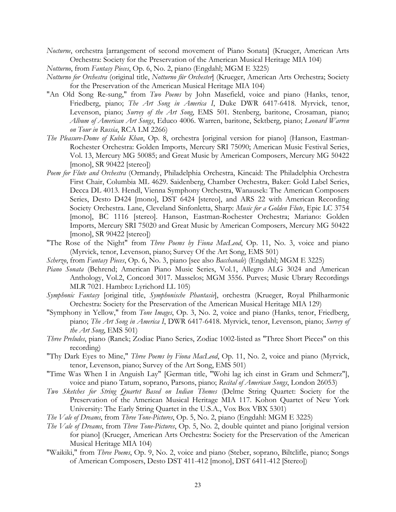*Nocturne*, orchestra [arrangement of second movement of Piano Sonata] (Krueger, American Arts Orchestra: Society for the Preservation of the American Musical Heritage MIA 104)

*Notturno*, from *Fantasy Pieces*, Op. 6, No. 2, piano (Engdahl; MGM E 3225)

- *Notturno for Orchestra* (original title, *Notturno für Orchester*] (Krueger, American Arts Orchestra; Society for the Preservation of the American Musical Heritage MIA 104)
- "An Old Song Re-sung," from *Two Poems* by John Masefield, voice and piano (Hanks, tenor, Friedberg, piano; *The Art Song in America I*, Duke DWR 6417-6418. Myrvick, tenor, Levenson, piano; *Survey of the Art Song*, EMS 501. Stenberg, baritone, Crosaman, piano; *Album of American Art Songs*, Educo 4006. Warren, baritone, Sektberg, piano; *Leonard Warren on Tour in Russia*, RCA LM 2266)
- *The Pleasure-Dome of Kubla Khan*, Op. 8, orchestra [original version for piano] (Hanson, Eastman-Rochester Orchestra: Golden Imports, Mercury SRI 75090; American Music Festival Series, Vol. 13, Mercury MG 50085; and Great Music by American Composers, Mercury MG 50422 [mono], SR 90422 [stereo])
- *Poem for Flute and Orchestra* (Ormandy, Philadelphia Orchestra, Kincaid: The Philadelphia Orchestra First Chair, Columbia ML 4629. Saidenberg, Chamber Orchestra, Baker: Gold Label Series, Decca DL 4013. Hendl, Vienna Symphony Orchestra, Wanausek: The American Composers Series, Desto D424 [mono], DST 6424 [stereo], and ARS 22 with American Recording Society Orchestra. Lane, Cleveland Sinfonletta, Sharp: *Music for a Golden Flute*, Epic LC 3754 [mono], BC 1116 [stereo]. Hanson, Eastman-Rochester Orchestra; Mariano: Golden Imports, Mercury SRI 75020 and Great Music by American Composers, Mercury MG 50422 [mono], SR 90422 [stereo])
- "The Rose of the Night" from *Three Poems by Fiona MacLeod*, Op. 11, No. 3, voice and piano (Myrvick, tenor, Levenson, piano; Survey Of the Art Song, EMS 501)
- *Scherzo*, from *Fantasy Pieces*, Op. 6, No. 3, piano [see also *Bacchanale*) (Engdahl; MGM E 3225)
- *Piano Sonata* (Behrend; American Piano Music Series, Vol.1, Allegro ALG 3024 and American Anthology, Vol.2, Concord 3017. Masselos; MGM 3556. Purves; Music Ubrary Recordings MLR 7021. Hambro: Lyrichord LL 105)
- *Symphonic Fantasy* [original title, *Symphonische Phantasie*], orchestra (Krueger, Royal Philharmonic Orchestra: Society for the Preservation of the American Musical Heritage MIA 129)
- "Symphony in Yellow," from *Tone Images*, Op. 3, No. 2, voice and piano (Hanks, tenor, Friedberg, piano; *The Art Song in America I*, DWR 6417-6418. Myrvick, tenor, Levenson, piano; *Survey of the Art Song*, EMS 501)
- *Three Preludes*, piano (Ranck; Zodiac Piano Series, Zodiac 1002-listed as "Three Short Pieces" on this recording)
- "Thy Dark Eyes to Mine," *Three Poems by Fiona MacLeod*, Op. 11, No. 2, voice and piano (Myrvick, tenor, Levenson, piano; Survey of the Art Song, EMS 501)
- "Time Was When I in Anguish Lay" [German title, "Wohi lag ich einst in Gram und Schmerz"], voice and piano Tatum, soprano, Parsons, piano; *Recital of American Songs*, London 26053)
- *Two Sketches for String Quartet Based on Indian Themes* (Delme String Quartet: Society for the Preservation of the American Musical Heritage MIA 117. Kohon Quartet of New York University: The Early String Quartet in the U.S.A., Vox Box VBX 5301)
- *The Vale of Dreams*, from *Three Tone-Pictures*, Op. 5, No. 2, piano (Engdahl: MGM E 3225)
- *The Vale of Dreams*, from *Three Tone-Pictures*, Op. 5, No. 2, double quintet and piano [original version for piano] (Krueger, American Arts Orchestra: Society for the Preservation of the American Musical Heritage MIA 104)
- "Waikiki," from *Three Poems*, Op. 9, No. 2, voice and piano (Steber, soprano, Biltclifle, piano; Songs of American Composers, Desto DST 411-412 [mono], DST 6411-412 [Stereo])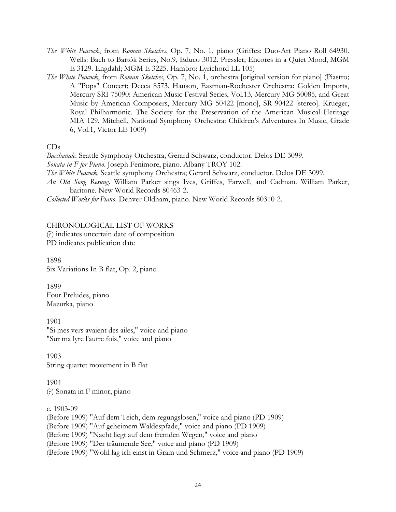- *The White Peacock*, from *Roman Sketches*, Op. 7, No. 1, piano (Griffes: Duo-Art Piano Roll 64930. Wells: Bach to Bartók Series, No.9, Educo 3012. Pressler; Encores in a Quiet Mood, MGM E 3129. Engdahl; MGM E 3225. Hambro: Lyrichord LL 105)
- *The White Peacock*, from *Roman Sketches*, Op. 7, No. 1, orchestra [original version for piano] (Piastro; A "Pops" Concert; Decca 8573. Hanson, Eastman-Rochester Orchestra: Golden Imports, Mercury SRI 75090: American Music Festival Series, Vol.13, Mercury MG 50085, and Great Music by American Composers, Mercury MG 50422 [mono], SR 90422 [stereo]. Krueger, Royal Philharmonic. The Society for the Preservation of the American Musical Heritage MIA 129. Mitchell, National Symphony Orchestra: Children's Adventures In Music, Grade 6, Vol.1, Victor LE 1009)

### CDs

*Bacchanale*. Seattle Symphony Orchestra; Gerard Schwarz, conductor. Delos DE 3099.

*Sonata in F for Piano*. Joseph Fenimore, piano. Albany TROY 102.

*The White Peacock*. Seattle symphony Orchestra; Gerard Schwarz, conductor. Delos DE 3099.

*An Old Song Resung*. William Parker sings Ives, Griffes, Farwell, and Cadman. William Parker, baritone. New World Records 80463-2.

*Collected Works for Piano*. Denver Oldham, piano. New World Records 80310-2.

# CHRONOLOGICAL LIST OF WORKS

(?) indicates uncertain date of composition

PD indicates publication date

1898 Six Variations In B flat, Op. 2, piano

1899 Four Preludes, piano Mazurka, piano

1901 "Si mes vers avaient des ailes," voice and piano "Sur ma lyre l'autre fois," voice and piano

1903 String quartet movement in B flat

1904 (?) Sonata in F minor, piano

c. 1903-09

(Before 1909) "Auf dem Teich, dem regungslosen," voice and piano (PD 1909)

(Before 1909) "Auf geheimem Waldespfade," voice and piano (PD 1909)

(Before 1909) "Nacht liegt auf dem fremden Wegen," voice and piano

(Before 1909) "Der träumende See," voice and piano (PD 1909)

(Before 1909) "Wohl lag ich einst in Gram und Schmerz," voice and piano (PD 1909)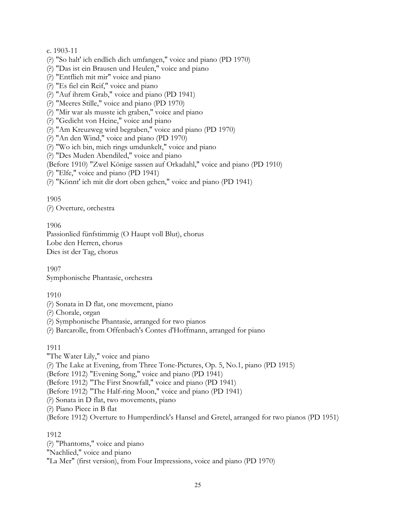c. 1903-11

- (?) "So halt' ich endlich dich umfangen," voice and piano (PD 1970)
- (?) "Das ist ein Brausen und Heulen," voice and piano
- (?) "Entflieh mit mir" voice and piano
- (?) "Es fiel ein Reif," voice and piano
- (?) "Auf ihrem Grab," voice and piano (PD 1941)
- (?) "Meeres Stille," voice and piano (PD 1970)
- (?) "Mir war als musste ich graben," voice and piano
- (?) "Gedicht von Heine," voice and piano
- (?) "Am Kreuzweg wird begraben," voice and piano (PD 1970)
- (?) "An den Wind," voice and piano (PD 1970)
- (?) "Wo ich bin, mich rings umdunkelt," voice and piano
- (?) "Des Muden Abendiled," voice and piano

(Before 1910) "Zwel Könige sassen auf Orkadahl," voice and piano (PD 1910)

(?) "Elfe," voice and piano (PD 1941)

(?) "Könnt' ich mit dir dort oben gehen," voice and piano (PD 1941)

### 1905

(?) Overture, orchestra

1906

Passionlied fünfstimmig (O Haupt voll Blut), chorus Lobe den Herren, chorus Dies ist der Tag, chorus

1907 Symphonische Phantasie, orchestra

1910

- (?) Sonata in D flat, one movement, piano
- (?) Chorale, organ

(?) Symphonische Phantasie, arranged for two pianos

(?) Barcarolle, from Offenbach's Contes d'Hoffmann, arranged for piano

### 1911

"The Water Lily," voice and piano (?) The Lake at Evening, from Three Tone-Pictures, Op. 5, No.1, piano (PD 1915) (Before 1912) "Evening Song," voice and piano (PD 1941) (Before 1912) "The First Snowfall," voice and piano (PD 1941) (Before 1912) "The Half-ring Moon," voice and piano (PD 1941) (?) Sonata in D flat, two movements, piano (?) Piano Piece in B flat (Before 1912) Overture to Humperdinck's Hansel and Gretel, arranged for two pianos (PD 1951)

1912

(?) "Phantoms," voice and piano "Nachlied," voice and piano "La Mer" (first version), from Four Impressions, voice and piano (PD 1970)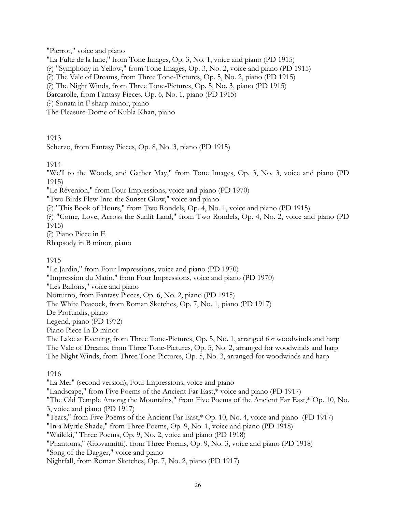"Pierrot," voice and piano

"La Fulte de la lune," from Tone Images, Op. 3, No. 1, voice and piano (PD 1915)

(?) "Symphony in Yellow," from Tone Images, Op. 3, No. 2, voice and piano (PD 1915)

(?) The Vale of Dreams, from Three Tone-Pictures, Op. 5, No. 2, piano (PD 1915)

(?) The Night Winds, from Three Tone-Pictures, Op. 5, No. 3, piano (PD 1915)

Barcarolle, from Fantasy Pieces, Op. 6, No. 1, piano (PD 1915)

(?) Sonata in F sharp minor, piano

The Pleasure-Dome of Kubla Khan, piano

1913

Scherzo, from Fantasy Pieces, Op. 8, No. 3, piano (PD 1915)

1914

"We'll to the Woods, and Gather May," from Tone Images, Op. 3, No. 3, voice and piano (PD 1915)

"Le Révenion," from Four Impressions, voice and piano (PD 1970)

"Two Birds Flew Into the Sunset Glow," voice and piano

(?) "This Book of Hours," from Two Rondels, Op. 4, No. 1, voice and piano (PD 1915)

(?) "Come, Love, Across the Sunlit Land," from Two Rondels, Op. 4, No. 2, voice and piano (PD 1915)

(?) Piano Piece in E Rhapsody in B minor, piano

## 1915

"Le Jardin," from Four Impressions, voice and piano (PD 1970)

"Impression du Matin," from Four Impressions, voice and piano (PD 1970)

"Les Ballons," voice and piano

Notturno, from Fantasy Pieces, Op. 6, No. 2, piano (PD 1915)

The White Peacock, from Roman Sketches, Op. 7, No. 1, piano (PD 1917)

De Profundis, piano

Legend, piano (PD 1972)

Piano Piece In D minor

The Lake at Evening, from Three Tone-Pictures, Op. 5, No. 1, arranged for woodwinds and harp The Vale of Dreams, from Three Tone-Pictures, Op. 5, No. 2, arranged for woodwinds and harp The Night Winds, from Three Tone-Pictures, Op. 5, No. 3, arranged for woodwinds and harp

1916

"La Mer" (second version), Four Impressions, voice and piano "Landscape," from Five Poems of the Ancient Far East,\* voice and piano (PD 1917) "The Old Temple Among the Mountains," from Five Poems of the Ancient Far East,\* Op. 10, No. 3, voice and piano (PD 1917) "Tears," from Five Poems of the Ancient Far East,\* Op. 10, No. 4, voice and piano (PD 1917) "In a Myrtle Shade," from Three Poems, Op. 9, No. 1, voice and piano (PD 1918) "Waikiki," Three Poems, Op. 9, No. 2, voice and piano (PD 1918) "Phantoms," (Giovannitti), from Three Poems, Op. 9, No. 3, voice and piano (PD 1918) "Song of the Dagger," voice and piano Nightfall, from Roman Sketches, Op. 7, No. 2, piano (PD 1917)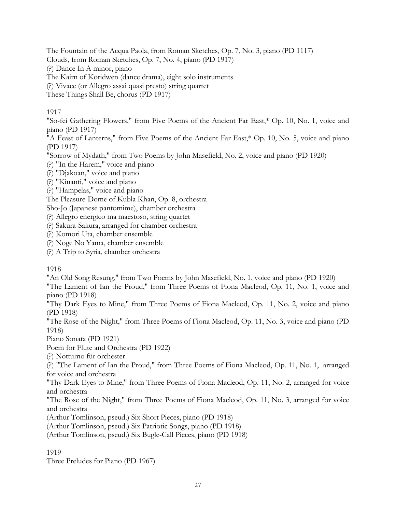The Fountain of the Acqua Paola, from Roman Sketches, Op. 7, No. 3, piano (PD 1117)

Clouds, from Roman Sketches, Op. 7, No. 4, piano (PD 1917)

(?) Dance In A minor, piano

The Kairn of Koridwen (dance drama), eight solo instruments

(?) Vivace (or Allegro assai quasi presto) string quartet

These Things Shall Be, chorus (PD 1917)

# 1917

"So-fei Gathering Flowers," from Five Poems of the Ancient Far East,\* Op. 10, No. 1, voice and piano (PD 1917)

"A Feast of Lanterns," from Five Poems of the Ancient Far East,\* Op. 10, No. 5, voice and piano (PD 1917)

"Sorrow of Mydath," from Two Poems by John Masefield, No. 2, voice and piano (PD 1920)

(?) "In the Harem," voice and piano

(?) "Djakoan," voice and piano

(?) "Kinanti," voice and piano

(?) "Hampelas," voice and piano

The Pleasure-Dome of Kubla Khan, Op. 8, orchestra

Sho-Jo (Japanese pantomime), chamber orchestra

(?) Allegro energico ma maestoso, string quartet

(?) Sakura-Sakura, arranged for chamber orchestra

(?) Komori Uta, chamber ensemble

(?) Noge No Yama, chamber ensemble

(?) A Trip to Syria, chamber orchestra

## 1918

"An Old Song Resung," from Two Poems by John Masefield, No. 1, voice and piano (PD 1920)

"The Lament of Ian the Proud," from Three Poems of Fiona Macleod, Op. 11, No. 1, voice and piano (PD 1918)

"Thy Dark Eyes to Mine," from Three Poems of Fiona Macleod, Op. 11, No. 2, voice and piano (PD 1918)

"The Rose of the Night," from Three Poems of Fiona Macleod, Op. 11, No. 3, voice and piano (PD 1918)

Piano Sonata (PD 1921)

Poem for Flute and Orchestra (PD 1922)

(?) Notturno für orchester

(?) "The Lament of Ian the Proud," from Three Poems of Fiona Macleod, Op. 11, No. 1, arranged for voice and orchestra

"Thy Dark Eyes to Mine," from Three Poems of Fiona Macleod, Op. 11, No. 2, arranged for voice and orchestra

"The Rose of the Night," from Three Poems of Fiona Macleod, Op. 11, No. 3, arranged for voice and orchestra

(Arthur Tomlinson, pseud.) Six Short Pieces, piano (PD 1918)

(Arthur Tomlinson, pseud.) Six Patriotic Songs, piano (PD 1918)

(Arthur Tomlinson, pseud.) Six Bugle-Call Pieces, piano (PD 1918)

## 1919

Three Preludes for Piano (PD 1967)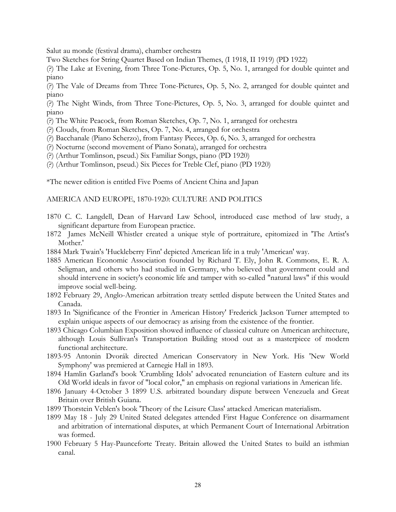Salut au monde (festival drama), chamber orchestra

Two Sketches for String Quartet Based on Indian Themes, (I 1918, II 1919) (PD 1922)

(?) The Lake at Evening, from Three Tone-Pictures, Op. 5, No. 1, arranged for double quintet and piano

(?) The Vale of Dreams from Three Tone-Pictures, Op. 5, No. 2, arranged for double quintet and piano

(?) The Night Winds, from Three Tone-Pictures, Op. 5, No. 3, arranged for double quintet and piano

(?) The White Peacock, from Roman Sketches, Op. 7, No. 1, arranged for orchestra

(?) Clouds, from Roman Sketches, Op. 7, No. 4, arranged for orchestra

(?) Bacchanale (Piano Scherzo), from Fantasy Pieces, Op. 6, No. 3, arranged for orchestra

(?) Nocturne (second movement of Piano Sonata), arranged for orchestra

(?) (Arthur Tomlinson, pseud.) Six Familiar Songs, piano (PD 1920)

(?) (Arthur Tomlinson, pseud.) Six Pieces for Treble Clef, piano (PD 1920)

\*The newer edition is entitled Five Poems of Ancient China and Japan

### AMERICA AND EUROPE, 1870-1920: CULTURE AND POLITICS

- 1870 C. C. Langdell, Dean of Harvard Law School, introduced case method of law study, a significant departure from European practice.
- 1872 James McNeill Whistler created a unique style of portraiture, epitomized in 'The Artist's Mother.'
- 1884 Mark Twain's 'Huckleberry Finn' depicted American life in a truly 'American' way.
- 1885 American Economic Association founded by Richard T. Ely, John R. Commons, E. R. A. Seligman, and others who had studied in Germany, who believed that government could and should intervene in society's economic life and tamper with so-called "natural laws" if this would improve social well-being.
- 1892 February 29, Anglo-American arbitration treaty settled dispute between the United States and Canada.
- 1893 In 'Significance of the Frontier in American History' Frederick Jackson Turner attempted to explain unique aspects of our democracy as arising from the existence of the frontier.
- 1893 Chicago Columbian Exposition showed influence of classical culture on American architecture, although Louis Sullivan's Transportation Building stood out as a masterpiece of modern functional architecture.
- 1893-95 Antonin Dvorák directed American Conservatory in New York. His 'New World Symphony' was premiered at Carnegie Hall in 1893.
- 1894 Hamlin Garland's book 'Crumbling Idols' advocated renunciation of Eastern culture and its Old World ideals in favor of "local color," an emphasis on regional variations in American life.
- 1896 January 4-October 3 1899 U.S. arbitrated boundary dispute between Venezuela and Great Britain over British Guiana.
- 1899 Thorstein Veblen's book 'Theory of the Leisure Class' attacked American materialism.
- 1899 May 18 July 29 United Stated delegates attended First Hague Conference on disarmament and arbitration of international disputes, at which Permanent Court of International Arbitration was formed.
- 1900 February 5 Hay-Paunceforte Treaty. Britain allowed the United States to build an isthmian canal.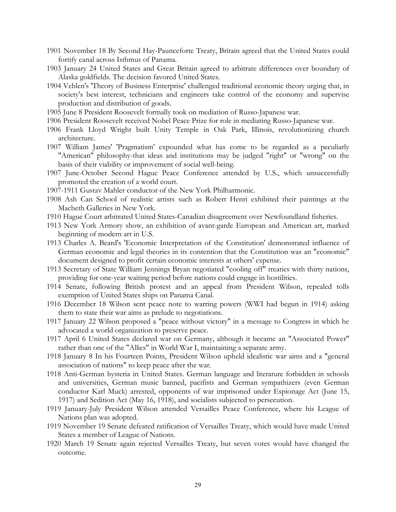- 1901 November 18 By Second Hay-Paunceforte Treaty, Britain agreed that the United States could fortify canal across Isthmus of Panama.
- 1903 January 24 United States and Great Britain agreed to arbitrate differences over boundary of Alaska goldfields. The decision favored United States.
- 1904 Veblen's 'Theory of Business Enterprise' challenged traditional economic theory urging that, in society's best interest, technicians and engineers take control of the economy and supervise production and distribution of goods.
- 1905 June 8 President Roosevelt formally took on mediation of Russo-Japanese war.
- 1906 President Roosevelt received Nobel Peace Prize for role in mediating Russo-Japanese war.
- 1906 Frank Lloyd Wright built Unity Temple in Oak Park, Illinois, revolutionizing church architecture.
- 1907 William James' 'Pragmatism' expounded what has come to be regarded as a peculiarly "American" philosophy-that ideas and institutions may be judged "right" or "wrong" on the basis of their viability or improvement of social well-being.
- 1907 June-October Second Hague Peace Conference attended by U.S., which unsuccessfully promoted the creation of a world court.
- 1907-1911 Gustav Mahler conductor of the New York Philharmonic.
- 1908 Ash Can School of realistic artists such as Robert Henri exhibited their paintings at the Macbeth Galleries in New York.
- 1910 Hague Court arbitrated United States-Canadian disagreement over Newfoundland fisheries.
- 1913 New York Armory show, an exhibition of avant-garde European and American art, marked beginning of modern art in U.S.
- 1913 Charles A. Beard's 'Economic Interpretation of the Constitution' demonstrated influence of German economic and legal theories in its contention that the Constitution was an "economic" document designed to profit certain economic interests at others' expense.
- 1913 Secretary of State William Jennings Bryan negotiated "cooling off" treaties with thirty nations, providing for one-year waiting period before nations could engage in hostilities.
- 1914 Senate, following British protest and an appeal from President Wilson, repealed tolls exemption of United States ships on Panama Canal.
- 1916 December 18 Wilson sent peace note to warring powers (WWI had begun in 1914) asking them to state their war aims as prelude to negotiations.
- 1917 January 22 Wilson proposed a "peace without victory" in a message to Congress in which he advocated a world organization to preserve peace.
- 1917 April 6 United States declared war on Germany, although it became an "Associated Power" rather than one of the "Allies" in World War I, maintaining a separate army.
- 1918 January 8 In his Fourteen Points, President Wilson upheld idealistic war aims and a "general association of nations" to keep peace after the war.
- 1918 Anti-German hysteria in United States. German language and literature forbidden in schools and universities, German music banned, pacifists and German sympathizers (even German conductor Karl Muck) arrested, opponents of war imprisoned under Espionage Act (June 15, 1917) and Sedition Act (May 16, 1918), and socialists subjected to persecution.
- 1919 January-July President Wilson attended Versailles Peace Conference, where his League of Nations plan was adopted.
- 1919 November 19 Senate defeated ratification of Versailles Treaty, which would have made United States a member of League of Nations.
- 1920 March 19 Senate again rejected Versailles Treaty, but seven votes would have changed the outcome.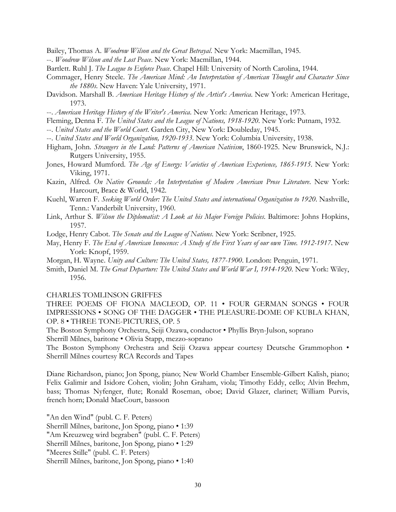Bailey, Thomas A. *Woodrow Wilson and the Great Betrayal*. New York: Macmillan, 1945.

- --. *Woodrow Wilson and the Lost Peace*. New York: Macmillan, 1944.
- Bartlett. Ruhl J. *The League to Enforce Peace*. Chapel Hill: University of North Carolina, 1944.
- Commager, Henry Steele. *The American Mind: An Interpretation of American Thought and Character Since the 1880s*. New Haven: Yale University, 1971.
- Davidson. Marshall B. *American Heritage History of the Artist's America*. New York: American Heritage, 1973.
- --. *American Heritage History of the Writer's America*. New York: American Heritage, 1973.
- Fleming, Denna F. *The United States and the League of Nations, 1918-1920*. New York: Putnam, 1932.
- --. *United States and the World Court*. Garden City, New York: Doubleday, 1945.
- --. *United States and World Organization, 1920-1933*. New York: Columbia University, 1938.
- Higham, John. *Strangers in the Land: Patterns of American Nativism*, 1860-1925. New Brunswick, N.J.: Rutgers University, 1955.
- Jones, Howard Mumford. *The Age of Energy: Varieties of American Experience, 1865-1915*. New York: Viking, 1971.
- Kazin, Alfred. *On Native Grounds: An Interpretation of Modern American Prose Literature*. New York: Harcourt, Brace & World, 1942.
- Kuehl, Warren F. *Seeking World Order: The United States and international Organization to 1920*. Nashville, Tenn.: Vanderbilt University, 1960.
- Link, Arthur S. *Wilson the Diplomatist: A Look at his Major Foreign Policies*. Baltimore: Johns Hopkins, 1957.
- Lodge, Henry Cabot. *The Senate and the League of Nations*. New York: Scribner, 1925.
- May, Henry F. *The End of American Innocence: A Study of the First Years of our own Time. 1912-1917*. New York: Knopf, 1959.
- Morgan, H. Wayne. *Unity and Culture: The United States, 1877-1900*. London: Penguin, 1971.
- Smith, Daniel M. *The Great Departure: The United States and World War I, 1914-1920*. New York: Wiley, 1956.

#### CHARLES TOMLINSON GRIFFES

THREE POEMS OF FIONA MACLEOD, OP. 11 • FOUR GERMAN SONGS • FOUR IMPRESSIONS • SONG OF THE DAGGER • THE PLEASURE-DOME OF KUBLA KHAN, OP. 8 • THREE TONE-PICTURES, OP. 5

The Boston Symphony Orchestra, Seiji Ozawa, conductor • Phyllis Bryn-Julson, soprano Sherrill Milnes, baritone • Olivia Stapp, mezzo-soprano

The Boston Symphony Orchestra and Seiji Ozawa appear courtesy Deutsche Grammophon • Sherrill Milnes courtesy RCA Records and Tapes

Diane Richardson, piano; Jon Spong, piano; New World Chamber Ensemble-Gilbert Kalish, piano; Felix Galimir and Isidore Cohen, violin; John Graham, viola; Timothy Eddy, cello; Alvin Brehm, bass; Thomas Nyfenger, flute; Ronald Roseman, oboe; David Glazer, clarinet; William Purvis, french horn; Donald MacCourt, bassoon

"An den Wind" (publ. C. F. Peters)

Sherrill Milnes, baritone, Jon Spong, piano • 1:39

"Am Kreuzweg wird begraben" (publ. C. F. Peters)

Sherrill Milnes, baritone, Jon Spong, piano • 1:29

"Meeres Stille" (publ. C. F. Peters)

Sherrill Milnes, baritone, Jon Spong, piano • 1:40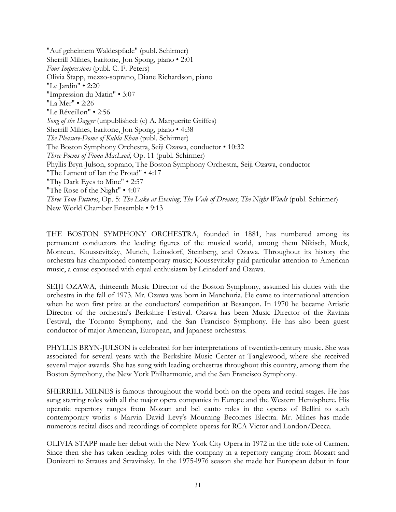"Auf geheimem Waldespfade" (publ. Schirmer) Sherrill Milnes, baritone, Jon Spong, piano • 2:01 *Four Impressions* (publ. C. F. Peters) Olivia Stapp, mezzo-soprano, Diane Richardson, piano "Le Jardin" • 2:20 "Impression du Matin" • 3:07 "La Mer" • 2:26 "Le Réveillon" • 2:56 *Song of the Dagger* (unpublished: (c) A. Marguerite Griffes) Sherrill Milnes, baritone, Jon Spong, piano • 4:38 *The Pleasure-Dome of Kubla Khan* (publ. Schirmer) The Boston Symphony Orchestra, Seiji Ozawa, conductor • 10:32 *Three Poems of Fiona MacLeod*, Op. 11 (publ. Schirmer) Phyllis Bryn-Julson, soprano, The Boston Symphony Orchestra, Seiji Ozawa, conductor "The Lament of Ian the Proud" • 4:17 "Thy Dark Eyes to Mine" • 2:57 "The Rose of the Night" • 4:07 *Three Tone-Pictures*, Op. 5: *The Lake at Evening*; *The Vale of Dreams*; *The Night Winds* (publ. Schirmer) New World Chamber Ensemble • 9:13

THE BOSTON SYMPHONY ORCHESTRA, founded in 1881, has numbered among its permanent conductors the leading figures of the musical world, among them Nikisch, Muck, Monteux, Koussevitzky, Munch, Leinsdorf, Steinberg, and Ozawa. Throughout its history the orchestra has championed contemporary music; Koussevitzky paid particular attention to American music, a cause espoused with equal enthusiasm by Leinsdorf and Ozawa.

SEIJI OZAWA, thirteenth Music Director of the Boston Symphony, assumed his duties with the orchestra in the fall of 1973. Mr. Ozawa was born in Manchuria. He came to international attention when he won first prize at the conductors' competition at Besançon. In 1970 he became Artistic Director of the orchestra's Berkshire Festival. Ozawa has been Music Director of the Ravinia Festival, the Toronto Symphony, and the San Francisco Symphony. He has also been guest conductor of major American, European, and Japanese orchestras.

PHYLLIS BRYN-JULSON is celebrated for her interpretations of twentieth-century music. She was associated for several years with the Berkshire Music Center at Tanglewood, where she received several major awards. She has sung with leading orchestras throughout this country, among them the Boston Symphony, the New York Philharmonic, and the San Francisco Symphony.

SHERRILL MILNES is famous throughout the world both on the opera and recital stages. He has sung starring roles with all the major opera companies in Europe and the Western Hemisphere. His operatic repertory ranges from Mozart and bel canto roles in the operas of Bellini to such contemporary works s Marvin David Levy's Mourning Becomes Electra. Mr. Milnes has made numerous recital discs and recordings of complete operas for RCA Victor and London/Decca.

OLIVIA STAPP made her debut with the New York City Opera in 1972 in the title role of Carmen. Since then she has taken leading roles with the company in a repertory ranging from Mozart and Donizetti to Strauss and Stravinsky. In the 1975-l976 season she made her European debut in four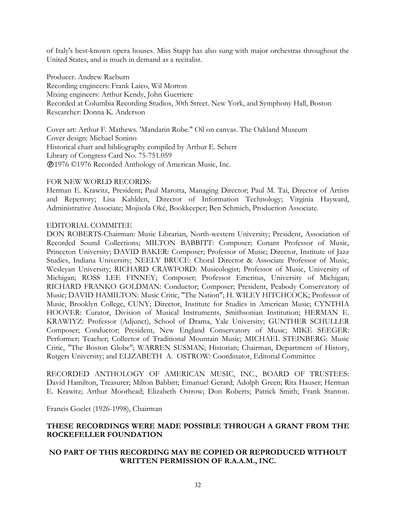of Italy's best-known opera houses. Miss Stapp has also sung with major orchestras throughout the United States, and is much in demand as a recitalist.

Producer. Andrew Raeburn Recording engineers: Frank Laico, Wil Morton Mixing engineers: Arthur Kendy, John Guerriere Recorded at Columbia Recording Studios, 30th Street. New York, and Symphony Hall, Boston Researcher: Donna K. Anderson

Cover art: Arthur F. Mathews. 'Mandarin Robe." Oil on canvas. The Oakland Museum Cover design: Michael Sonino Historical chart and bibliography compiled by Arthur E. Scherr Library of Congress Card No. 75-751.059 1976 ©1976 Recorded Anthology of American Music, Inc.

### FOR NEW WORLD RECORDS:

Herman E. Krawitz, President; Paul Marotta, Managing Director; Paul M. Tai, Director of Artists and Repertory; Lisa Kahlden, Director of Information Technology; Virginia Hayward, Administrative Associate; Mojisola Oké, Bookkeeper; Ben Schmich, Production Associate.

### EDITORIAL COMMITEE

DON ROBERTS-Chairman: Music Librarian, North-western University; President, Association of Recorded Sound Collections; MILTON BABBITT: Composer; Conant Professor of Music, Princeton University; DAVID BAKER: Composer; Professor of Music; Director, Institute of Jazz Studies, Indiana University; NEELY BRUCE: Choral Director & Associate Professor of Music, Wesleyan University; RICHARD CRAWFORD: Musicologist; Professor of Music, University of Michigan; ROSS LEE FINNEY; Composer; Professor Emeritus, University of Michigan; RICHARD FRANKO GOLDMAN: Conductor; Composer; President, Peabody Conservatory of Music; DAVID HAMILTON: Music Critic, "The Nation"; H. WILEY HITCHCOCK; Professor of Music, Brooklyn College, CUNY; Director, Institute for Studies in American Music; CYNTHIA HOOVER: Curator, Division of Musical Instruments, Smithsonian Institution; HERMAN E. KRAWIYZ: Professor (Adjunct), School of Drama, Yale University; GUNTHER SCHULLER Composer; Conductor; President, New England Conservatory of Music; MIKE SEEGER: Performer; Teacher; Collector of Traditional Mountain Music; MICHAEL STEINBERG: Music Critic, "The Boston Globe"; WARREN SUSMAN; Historian; Chairman, Department of History, Rutgers University; and ELIZABETH A. OSTROW: Coordinator, Editorial Committee

RECORDED ANTHOLOGY OF AMERICAN MUSIC, INC., BOARD OF TRUSTEES: David Hamilton, Treasurer; Milton Babbitt; Emanuel Gerard; Adolph Green; Rita Hauser; Herman E. Krawitz; Arthur Moorhead; Elizabeth Ostrow; Don Roberts; Patrick Smith; Frank Stanton.

Francis Goelet (1926-1998), Chairman

# **THESE RECORDINGS WERE MADE POSSIBLE THROUGH A GRANT FROM THE ROCKEFELLER FOUNDATION**

# **NO PART OF THIS RECORDING MAY BE COPIED OR REPRODUCED WITHOUT WRITTEN PERMISSION OF R.A.A.M., INC.**